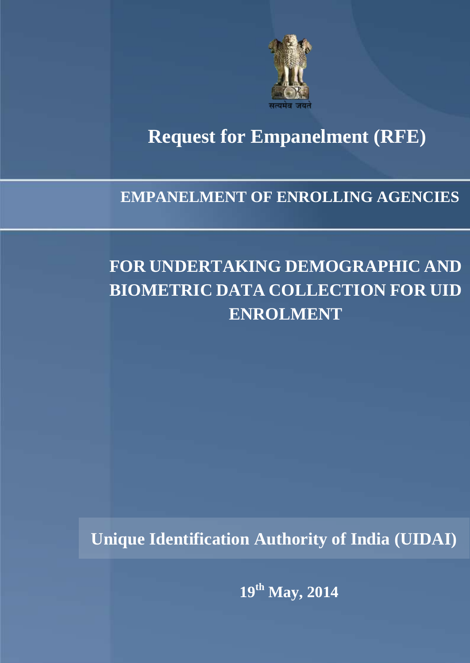

# **Request for Empanelment (RFE) Request for Empanelment (RFE)**

### **EMPANELMENT OF ENROLLING AGENCIES**

## **FOR UNDERTAKING DEMOGRAPHIC AND BIOMETRIC DATA COLLECTION FOR UID ENROLMENT**

**Unique Identification Authority of India (UIDAI)**

**19th May, 2014**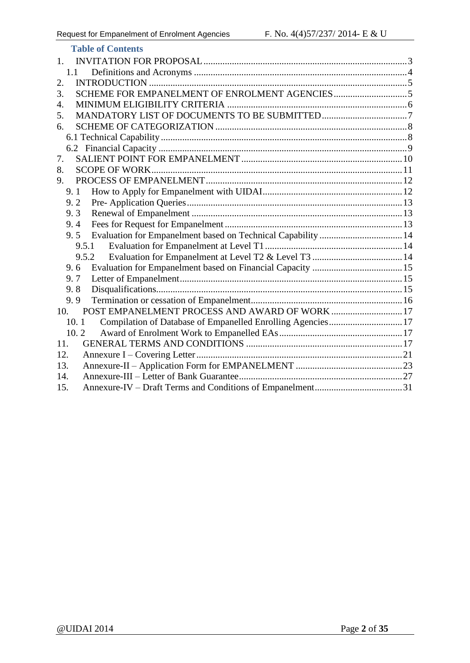| <b>Table of Contents</b>                                            |  |
|---------------------------------------------------------------------|--|
| 1.                                                                  |  |
| 1.1                                                                 |  |
| 2.                                                                  |  |
| 3.                                                                  |  |
| 4.                                                                  |  |
| 5.                                                                  |  |
| 6.                                                                  |  |
|                                                                     |  |
|                                                                     |  |
| 7.                                                                  |  |
| 8.                                                                  |  |
| 9.                                                                  |  |
| 9.1                                                                 |  |
| 9.2                                                                 |  |
| 9.3                                                                 |  |
| 9.4                                                                 |  |
| Evaluation for Empanelment based on Technical Capability  14<br>9.5 |  |
| 9.5.1                                                               |  |
| 9.5.2                                                               |  |
| 9.6                                                                 |  |
| 9.7                                                                 |  |
| 9.8                                                                 |  |
| 9.9                                                                 |  |
| POST EMPANELMENT PROCESS AND AWARD OF WORK  17<br>10.               |  |
| Compilation of Database of Empanelled Enrolling Agencies 17<br>10.1 |  |
| 10.2                                                                |  |
| 11.                                                                 |  |
| 12.                                                                 |  |
| 13.                                                                 |  |
| 14.                                                                 |  |
| 15.                                                                 |  |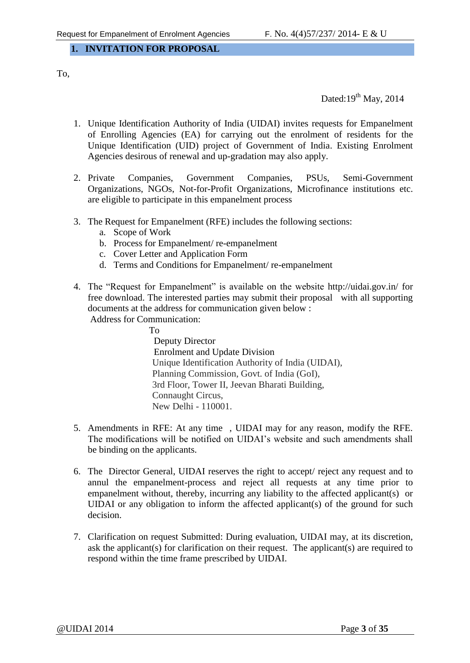#### <span id="page-2-0"></span>**1. INVITATION FOR PROPOSAL**

To,

Dated: $19^{th}$  May, 2014

- 1. Unique Identification Authority of India (UIDAI) invites requests for Empanelment of Enrolling Agencies (EA) for carrying out the enrolment of residents for the Unique Identification (UID) project of Government of India. Existing Enrolment Agencies desirous of renewal and up-gradation may also apply.
- 2. Private Companies, Government Companies, PSUs, Semi-Government Organizations, NGOs, Not-for-Profit Organizations, Microfinance institutions etc. are eligible to participate in this empanelment process
- 3. The Request for Empanelment (RFE) includes the following sections:
	- a. Scope of Work
	- b. Process for Empanelment/ re-empanelment
	- c. Cover Letter and Application Form
	- d. Terms and Conditions for Empanelment/ re-empanelment
- 4. The "Request for Empanelment" is available on the website<http://uidai.gov.in/> for free download. The interested parties may submit their proposal with all supporting documents at the address for communication given below :

Address for Communication:

 To Deputy Director Enrolment and Update Division Unique Identification Authority of India (UIDAI), Planning Commission, Govt. of India (GoI), 3rd Floor, Tower II, Jeevan Bharati Building, Connaught Circus, New Delhi - 110001.

- 5. Amendments in RFE: At any time , UIDAI may for any reason, modify the RFE. The modifications will be notified on UIDAI's website and such amendments shall be binding on the applicants.
- 6. The Director General, UIDAI reserves the right to accept/ reject any request and to annul the empanelment-process and reject all requests at any time prior to empanelment without, thereby, incurring any liability to the affected applicant(s) or UIDAI or any obligation to inform the affected applicant(s) of the ground for such decision.
- 7. Clarification on request Submitted: During evaluation, UIDAI may, at its discretion, ask the applicant(s) for clarification on their request. The applicant(s) are required to respond within the time frame prescribed by UIDAI.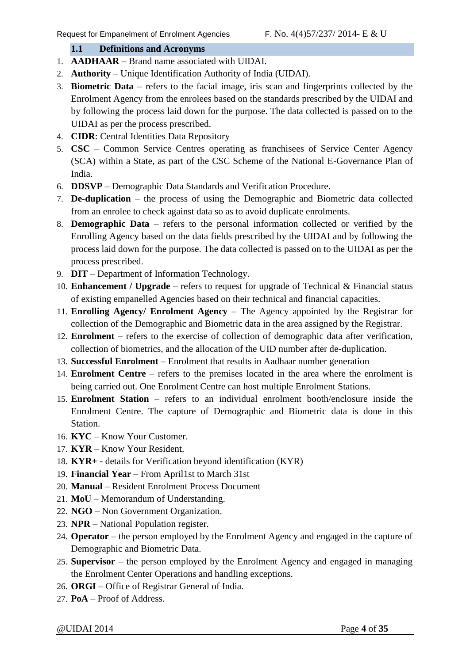#### **1.1 Definitions and Acronyms**

- <span id="page-3-0"></span>1. **AADHAAR** – Brand name associated with UIDAI.
- 2. **Authority** Unique Identification Authority of India (UIDAI).
- 3. **Biometric Data** refers to the facial image, iris scan and fingerprints collected by the Enrolment Agency from the enrolees based on the standards prescribed by the UIDAI and by following the process laid down for the purpose. The data collected is passed on to the UIDAI as per the process prescribed.
- 4. **CIDR**: Central Identities Data Repository
- 5. **CSC** Common Service Centres operating as franchisees of Service Center Agency (SCA) within a State, as part of the CSC Scheme of the National E-Governance Plan of India.
- 6. **DDSVP** Demographic Data Standards and Verification Procedure.
- 7. **De-duplication** the process of using the Demographic and Biometric data collected from an enrolee to check against data so as to avoid duplicate enrolments.
- 8. **Demographic Data** refers to the personal information collected or verified by the Enrolling Agency based on the data fields prescribed by the UIDAI and by following the process laid down for the purpose. The data collected is passed on to the UIDAI as per the process prescribed.
- 9. **DIT** Department of Information Technology.
- 10. **Enhancement / Upgrade** refers to request for upgrade of Technical & Financial status of existing empanelled Agencies based on their technical and financial capacities.
- 11. **Enrolling Agency/ Enrolment Agency** The Agency appointed by the Registrar for collection of the Demographic and Biometric data in the area assigned by the Registrar.
- 12. **Enrolment** refers to the exercise of collection of demographic data after verification, collection of biometrics, and the allocation of the UID number after de-duplication.
- 13. **Successful Enrolment**  Enrolment that results in Aadhaar number generation
- 14. **Enrolment Centre** refers to the premises located in the area where the enrolment is being carried out. One Enrolment Centre can host multiple Enrolment Stations.
- 15. **Enrolment Station** refers to an individual enrolment booth/enclosure inside the Enrolment Centre. The capture of Demographic and Biometric data is done in this Station.
- 16. **KYC** Know Your Customer.
- 17. **KYR** Know Your Resident.
- 18. **KYR+**  details for Verification beyond identification (KYR)
- 19. **Financial Year**  From April1st to March 31st
- 20. **Manual** Resident Enrolment Process Document
- 21. **MoU** Memorandum of Understanding.
- 22. **NGO** Non Government Organization.
- 23. **NPR** National Population register.
- 24. **Operator** the person employed by the Enrolment Agency and engaged in the capture of Demographic and Biometric Data.
- 25. **Supervisor**  the person employed by the Enrolment Agency and engaged in managing the Enrolment Center Operations and handling exceptions.
- 26. **ORGI** Office of Registrar General of India.
- 27. **PoA** Proof of Address.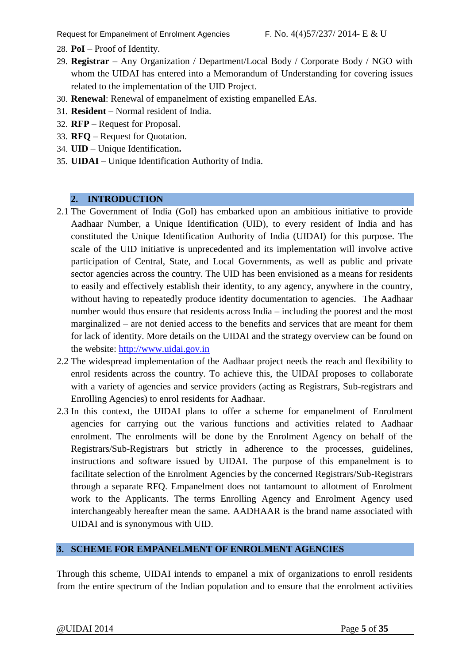- 28. **PoI** Proof of Identity.
- 29. **Registrar** Any Organization / Department/Local Body / Corporate Body / NGO with whom the UIDAI has entered into a Memorandum of Understanding for covering issues related to the implementation of the UID Project.
- 30. **Renewal**: Renewal of empanelment of existing empanelled EAs.
- 31. **Resident** Normal resident of India.
- 32. **RFP** Request for Proposal.
- 33. **RFQ**  Request for Quotation.
- 34. **UID** Unique Identification**.**
- 35. **UIDAI** Unique Identification Authority of India.

#### <span id="page-4-0"></span>**2. INTRODUCTION**

- 2.1 The Government of India (GoI) has embarked upon an ambitious initiative to provide Aadhaar Number, a Unique Identification (UID), to every resident of India and has constituted the Unique Identification Authority of India (UIDAI) for this purpose. The scale of the UID initiative is unprecedented and its implementation will involve active participation of Central, State, and Local Governments, as well as public and private sector agencies across the country. The UID has been envisioned as a means for residents to easily and effectively establish their identity, to any agency, anywhere in the country, without having to repeatedly produce identity documentation to agencies. The Aadhaar number would thus ensure that residents across India – including the poorest and the most marginalized – are not denied access to the benefits and services that are meant for them for lack of identity. More details on the UIDAI and the strategy overview can be found on the website: [http://www.uidai.gov.in](http://www.uidai.gov.in/)
- 2.2 The widespread implementation of the Aadhaar project needs the reach and flexibility to enrol residents across the country. To achieve this, the UIDAI proposes to collaborate with a variety of agencies and service providers (acting as Registrars, Sub-registrars and Enrolling Agencies) to enrol residents for Aadhaar.
- 2.3 In this context, the UIDAI plans to offer a scheme for empanelment of Enrolment agencies for carrying out the various functions and activities related to Aadhaar enrolment. The enrolments will be done by the Enrolment Agency on behalf of the Registrars/Sub-Registrars but strictly in adherence to the processes, guidelines, instructions and software issued by UIDAI. The purpose of this empanelment is to facilitate selection of the Enrolment Agencies by the concerned Registrars/Sub-Registrars through a separate RFQ. Empanelment does not tantamount to allotment of Enrolment work to the Applicants. The terms Enrolling Agency and Enrolment Agency used interchangeably hereafter mean the same. AADHAAR is the brand name associated with UIDAI and is synonymous with UID.

#### <span id="page-4-1"></span>**3. SCHEME FOR EMPANELMENT OF ENROLMENT AGENCIES**

Through this scheme, UIDAI intends to empanel a mix of organizations to enroll residents from the entire spectrum of the Indian population and to ensure that the enrolment activities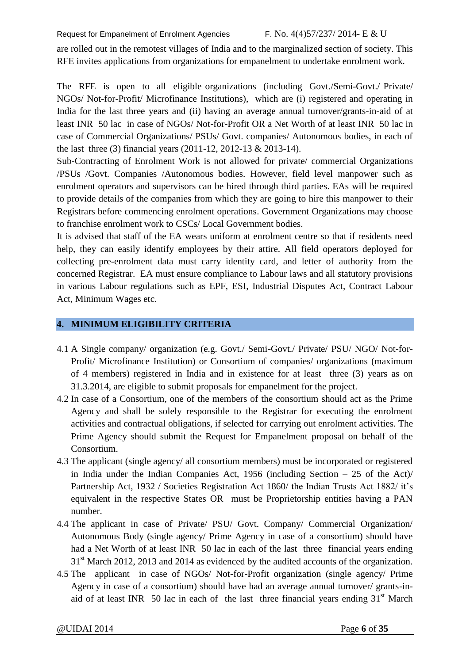are rolled out in the remotest villages of India and to the marginalized section of society. This RFE invites applications from organizations for empanelment to undertake enrolment work.

The RFE is open to all eligible organizations (including Govt./Semi-Govt./ Private/ NGOs/ Not-for-Profit/ Microfinance Institutions), which are (i) registered and operating in India for the last three years and (ii) having an average annual turnover/grants-in-aid of at least INR 50 lac in case of NGOs/ Not-for-Profit OR a Net Worth of at least INR 50 lac in case of Commercial Organizations/ PSUs/ Govt. companies/ Autonomous bodies, in each of the last three (3) financial years (2011-12, 2012-13 & 2013-14).

Sub-Contracting of Enrolment Work is not allowed for private/ commercial Organizations /PSUs /Govt. Companies /Autonomous bodies. However, field level manpower such as enrolment operators and supervisors can be hired through third parties. EAs will be required to provide details of the companies from which they are going to hire this manpower to their Registrars before commencing enrolment operations. Government Organizations may choose to franchise enrolment work to CSCs/ Local Government bodies.

It is advised that staff of the EA wears uniform at enrolment centre so that if residents need help, they can easily identify employees by their attire. All field operators deployed for collecting pre-enrolment data must carry identity card, and letter of authority from the concerned Registrar. EA must ensure compliance to Labour laws and all statutory provisions in various Labour regulations such as EPF, ESI, Industrial Disputes Act, Contract Labour Act, Minimum Wages etc.

#### <span id="page-5-0"></span>**4. MINIMUM ELIGIBILITY CRITERIA**

- 4.1 A Single company/ organization (e.g. Govt./ Semi-Govt./ Private/ PSU/ NGO/ Not-for-Profit/ Microfinance Institution) or Consortium of companies/ organizations (maximum of 4 members) registered in India and in existence for at least three (3) years as on 31.3.2014, are eligible to submit proposals for empanelment for the project.
- 4.2 In case of a Consortium, one of the members of the consortium should act as the Prime Agency and shall be solely responsible to the Registrar for executing the enrolment activities and contractual obligations, if selected for carrying out enrolment activities. The Prime Agency should submit the Request for Empanelment proposal on behalf of the Consortium.
- 4.3 The applicant (single agency/ all consortium members) must be incorporated or registered in India under the Indian Companies Act, 1956 (including Section – 25 of the Act)/ Partnership Act, 1932 / Societies Registration Act 1860/ the Indian Trusts Act 1882/ it's equivalent in the respective States OR must be Proprietorship entities having a PAN number.
- 4.4 The applicant in case of Private/ PSU/ Govt. Company/ Commercial Organization/ Autonomous Body (single agency/ Prime Agency in case of a consortium) should have had a Net Worth of at least INR 50 lac in each of the last three financial years ending 31<sup>st</sup> March 2012, 2013 and 2014 as evidenced by the audited accounts of the organization.
- 4.5 The applicant in case of NGOs/ Not-for-Profit organization (single agency/ Prime Agency in case of a consortium) should have had an average annual turnover/ grants-inaid of at least INR 50 lac in each of the last three financial years ending  $31<sup>st</sup>$  March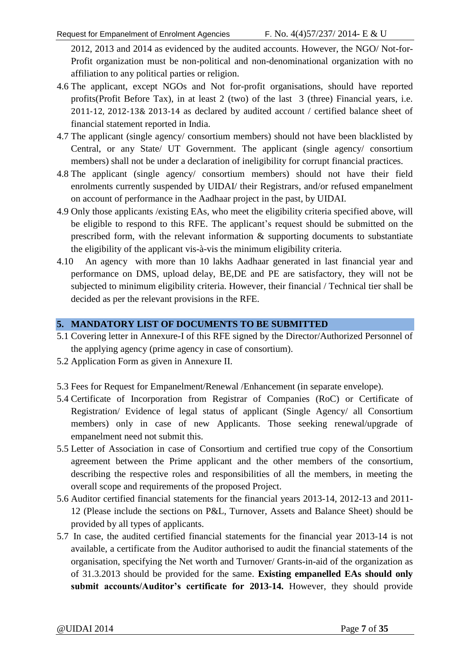2012, 2013 and 2014 as evidenced by the audited accounts. However, the NGO/ Not-for-Profit organization must be non-political and non-denominational organization with no affiliation to any political parties or religion.

- 4.6 The applicant, except NGOs and Not for-profit organisations, should have reported profits(Profit Before Tax), in at least 2 (two) of the last 3 (three) Financial years, i.e. 2011-12, 2012-13& 2013-14 as declared by audited account / certified balance sheet of financial statement reported in India.
- 4.7 The applicant (single agency/ consortium members) should not have been blacklisted by Central, or any State/ UT Government. The applicant (single agency/ consortium members) shall not be under a declaration of ineligibility for corrupt financial practices.
- 4.8 The applicant (single agency/ consortium members) should not have their field enrolments currently suspended by UIDAI/ their Registrars, and/or refused empanelment on account of performance in the Aadhaar project in the past, by UIDAI.
- 4.9 Only those applicants /existing EAs, who meet the eligibility criteria specified above, will be eligible to respond to this RFE. The applicant's request should be submitted on the prescribed form, with the relevant information & supporting documents to substantiate the eligibility of the applicant vis-à-vis the minimum eligibility criteria.
- 4.10 An agency with more than 10 lakhs Aadhaar generated in last financial year and performance on DMS, upload delay, BE,DE and PE are satisfactory, they will not be subjected to minimum eligibility criteria. However, their financial / Technical tier shall be decided as per the relevant provisions in the RFE.

#### <span id="page-6-0"></span>**5. MANDATORY LIST OF DOCUMENTS TO BE SUBMITTED**

- 5.1 Covering letter in Annexure-I of this RFE signed by the Director/Authorized Personnel of the applying agency (prime agency in case of consortium).
- 5.2 Application Form as given in Annexure II.
- 5.3 Fees for Request for Empanelment/Renewal /Enhancement (in separate envelope).
- 5.4 Certificate of Incorporation from Registrar of Companies (RoC) or Certificate of Registration/ Evidence of legal status of applicant (Single Agency/ all Consortium members) only in case of new Applicants. Those seeking renewal/upgrade of empanelment need not submit this.
- 5.5 Letter of Association in case of Consortium and certified true copy of the Consortium agreement between the Prime applicant and the other members of the consortium, describing the respective roles and responsibilities of all the members, in meeting the overall scope and requirements of the proposed Project.
- 5.6 Auditor certified financial statements for the financial years 2013-14, 2012-13 and 2011- 12 (Please include the sections on P&L, Turnover, Assets and Balance Sheet) should be provided by all types of applicants.
- 5.7 In case, the audited certified financial statements for the financial year 2013-14 is not available, a certificate from the Auditor authorised to audit the financial statements of the organisation, specifying the Net worth and Turnover/ Grants-in-aid of the organization as of 31.3.2013 should be provided for the same. **Existing empanelled EAs should only submit accounts/Auditor's certificate for 2013-14.** However, they should provide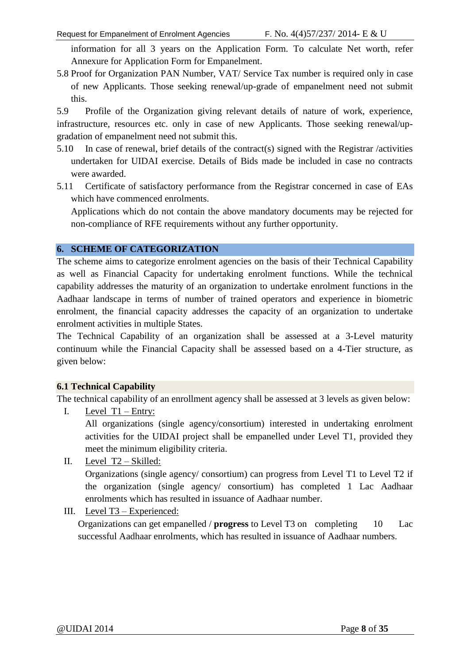information for all 3 years on the Application Form. To calculate Net worth, refer Annexure for Application Form for Empanelment.

5.8 Proof for Organization PAN Number, VAT/ Service Tax number is required only in case of new Applicants. Those seeking renewal/up-grade of empanelment need not submit this.

5.9 Profile of the Organization giving relevant details of nature of work, experience, infrastructure, resources etc. only in case of new Applicants. Those seeking renewal/upgradation of empanelment need not submit this.

- 5.10 In case of renewal, brief details of the contract(s) signed with the Registrar /activities undertaken for UIDAI exercise. Details of Bids made be included in case no contracts were awarded.
- 5.11 Certificate of satisfactory performance from the Registrar concerned in case of EAs which have commenced enrolments.

Applications which do not contain the above mandatory documents may be rejected for non-compliance of RFE requirements without any further opportunity.

#### <span id="page-7-0"></span>**6. SCHEME OF CATEGORIZATION**

The scheme aims to categorize enrolment agencies on the basis of their Technical Capability as well as Financial Capacity for undertaking enrolment functions. While the technical capability addresses the maturity of an organization to undertake enrolment functions in the Aadhaar landscape in terms of number of trained operators and experience in biometric enrolment, the financial capacity addresses the capacity of an organization to undertake enrolment activities in multiple States.

The Technical Capability of an organization shall be assessed at a 3-Level maturity continuum while the Financial Capacity shall be assessed based on a 4-Tier structure, as given below:

#### <span id="page-7-1"></span>**6.1 Technical Capability**

The technical capability of an enrollment agency shall be assessed at 3 levels as given below:

I. Level T1 – Entry:

All organizations (single agency/consortium) interested in undertaking enrolment activities for the UIDAI project shall be empanelled under Level T1, provided they meet the minimum eligibility criteria.

- II. Level T2 Skilled: Organizations (single agency/ consortium) can progress from Level T1 to Level T2 if the organization (single agency/ consortium) has completed 1 Lac Aadhaar enrolments which has resulted in issuance of Aadhaar number.
- III. Level T3 Experienced:

Organizations can get empanelled / **progress** to Level T3 on completing 10 Lac successful Aadhaar enrolments, which has resulted in issuance of Aadhaar numbers.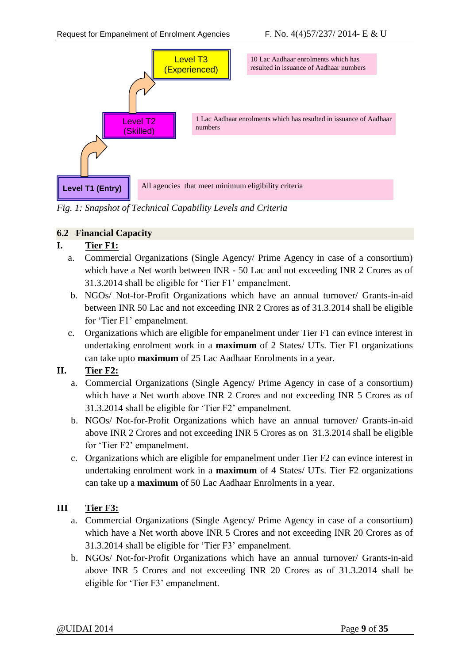

*Fig. 1: Snapshot of Technical Capability Levels and Criteria*

#### <span id="page-8-0"></span>**6.2 Financial Capacity**

#### **I. Tier F1:**

- a. Commercial Organizations (Single Agency/ Prime Agency in case of a consortium) which have a Net worth between INR - 50 Lac and not exceeding INR 2 Crores as of 31.3.2014 shall be eligible for 'Tier F1' empanelment.
- b. NGOs/ Not-for-Profit Organizations which have an annual turnover/ Grants-in-aid between INR 50 Lac and not exceeding INR 2 Crores as of 31.3.2014 shall be eligible for 'Tier F1' empanelment.
- c. Organizations which are eligible for empanelment under Tier F1 can evince interest in undertaking enrolment work in a **maximum** of 2 States/ UTs. Tier F1 organizations can take upto **maximum** of 25 Lac Aadhaar Enrolments in a year.

#### **II. Tier F2:**

- a. Commercial Organizations (Single Agency/ Prime Agency in case of a consortium) which have a Net worth above INR 2 Crores and not exceeding INR 5 Crores as of 31.3.2014 shall be eligible for 'Tier F2' empanelment.
- b. NGOs/ Not-for-Profit Organizations which have an annual turnover/ Grants-in-aid above INR 2 Crores and not exceeding INR 5 Crores as on 31.3.2014 shall be eligible for 'Tier F2' empanelment.
- c. Organizations which are eligible for empanelment under Tier F2 can evince interest in undertaking enrolment work in a **maximum** of 4 States/ UTs. Tier F2 organizations can take up a **maximum** of 50 Lac Aadhaar Enrolments in a year.

#### **III Tier F3:**

- a. Commercial Organizations (Single Agency/ Prime Agency in case of a consortium) which have a Net worth above INR 5 Crores and not exceeding INR 20 Crores as of 31.3.2014 shall be eligible for 'Tier F3' empanelment.
- b. NGOs/ Not-for-Profit Organizations which have an annual turnover/ Grants-in-aid above INR 5 Crores and not exceeding INR 20 Crores as of 31.3.2014 shall be eligible for 'Tier F3' empanelment.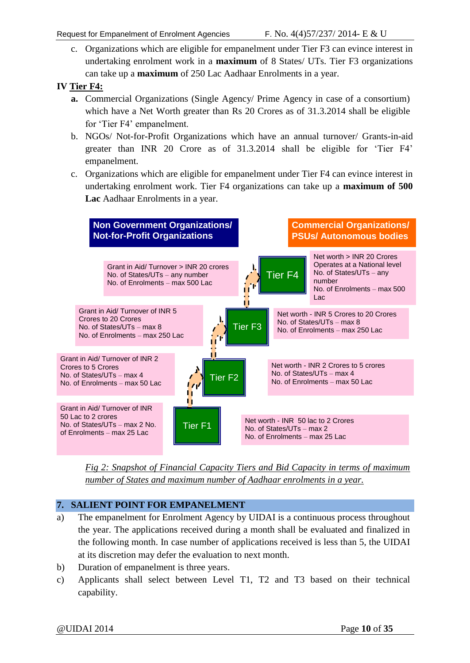c. Organizations which are eligible for empanelment under Tier F3 can evince interest in undertaking enrolment work in a **maximum** of 8 States/ UTs. Tier F3 organizations can take up a **maximum** of 250 Lac Aadhaar Enrolments in a year.

### **IV Tier F4:**

- **a.** Commercial Organizations (Single Agency/ Prime Agency in case of a consortium) which have a Net Worth greater than Rs 20 Crores as of 31.3.2014 shall be eligible for 'Tier F4' empanelment.
- b. NGOs/ Not-for-Profit Organizations which have an annual turnover/ Grants-in-aid greater than INR 20 Crore as of 31.3.2014 shall be eligible for 'Tier F4' empanelment.
- c. Organizations which are eligible for empanelment under Tier F4 can evince interest in undertaking enrolment work. Tier F4 organizations can take up a **maximum of 500 Lac** Aadhaar Enrolments in a year.



*Fig 2: Snapshot of Financial Capacity Tiers and Bid Capacity in terms of maximum number of States and maximum number of Aadhaar enrolments in a year.*

#### <span id="page-9-0"></span>**7. SALIENT POINT FOR EMPANELMENT**

- a) The empanelment for Enrolment Agency by UIDAI is a continuous process throughout the year. The applications received during a month shall be evaluated and finalized in the following month. In case number of applications received is less than 5, the UIDAI at its discretion may defer the evaluation to next month.
- b) Duration of empanelment is three years.
- c) Applicants shall select between Level T1, T2 and T3 based on their technical capability.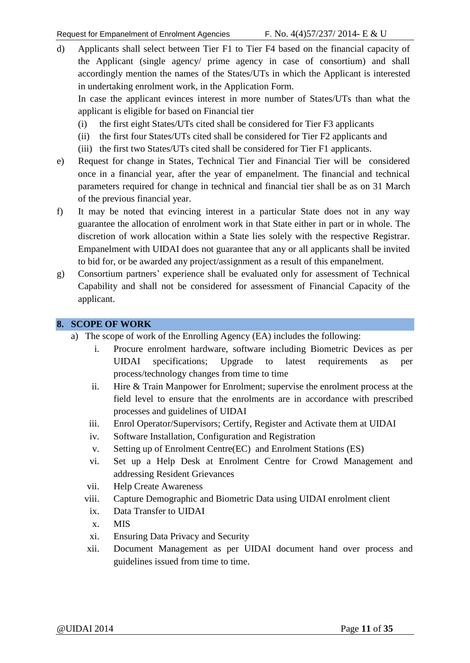d) Applicants shall select between Tier F1 to Tier F4 based on the financial capacity of the Applicant (single agency/ prime agency in case of consortium) and shall accordingly mention the names of the States/UTs in which the Applicant is interested in undertaking enrolment work, in the Application Form.

In case the applicant evinces interest in more number of States/UTs than what the applicant is eligible for based on Financial tier

- (i) the first eight States/UTs cited shall be considered for Tier F3 applicants
- (ii) the first four States/UTs cited shall be considered for Tier F2 applicants and
- (iii) the first two States/UTs cited shall be considered for Tier F1 applicants.
- e) Request for change in States, Technical Tier and Financial Tier will be considered once in a financial year, after the year of empanelment. The financial and technical parameters required for change in technical and financial tier shall be as on 31 March of the previous financial year.
- f) It may be noted that evincing interest in a particular State does not in any way guarantee the allocation of enrolment work in that State either in part or in whole. The discretion of work allocation within a State lies solely with the respective Registrar. Empanelment with UIDAI does not guarantee that any or all applicants shall be invited to bid for, or be awarded any project/assignment as a result of this empanelment.
- g) Consortium partners' experience shall be evaluated only for assessment of Technical Capability and shall not be considered for assessment of Financial Capacity of the applicant.

#### <span id="page-10-0"></span>**8. SCOPE OF WORK**

- a) The scope of work of the Enrolling Agency (EA) includes the following:
	- i. Procure enrolment hardware, software including Biometric Devices as per UIDAI specifications; Upgrade to latest requirements as per process/technology changes from time to time
	- ii. Hire & Train Manpower for Enrolment; supervise the enrolment process at the field level to ensure that the enrolments are in accordance with prescribed processes and guidelines of UIDAI
	- iii. Enrol Operator/Supervisors; Certify, Register and Activate them at UIDAI
	- iv. Software Installation, Configuration and Registration
	- v. Setting up of Enrolment Centre(EC) and Enrolment Stations (ES)
	- vi. Set up a Help Desk at Enrolment Centre for Crowd Management and addressing Resident Grievances
	- vii. Help Create Awareness
	- viii. Capture Demographic and Biometric Data using UIDAI enrolment client
	- ix. Data Transfer to UIDAI
	- x. MIS
	- xi. Ensuring Data Privacy and Security
	- xii. Document Management as per UIDAI document hand over process and guidelines issued from time to time.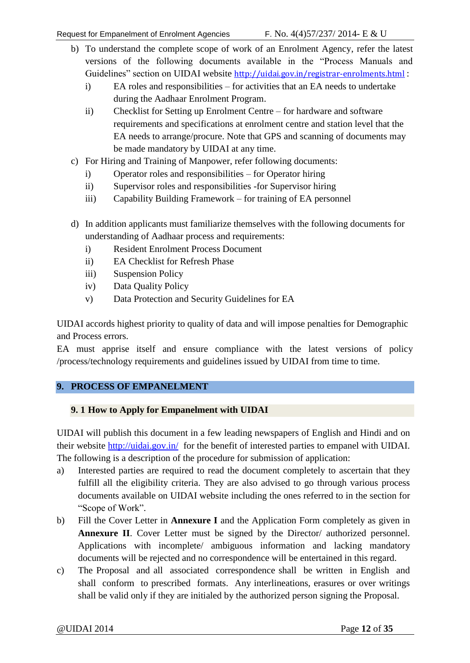- b) To understand the complete scope of work of an Enrolment Agency, refer the latest versions of the following documents available in the "Process Manuals and Guidelines" section on UIDAI website <http://uidai.gov.in/registrar-enrolments.html> :
	- i) EA roles and responsibilities for activities that an EA needs to undertake during the Aadhaar Enrolment Program.
	- ii) Checklist for Setting up Enrolment Centre for hardware and software requirements and specifications at enrolment centre and station level that the EA needs to arrange/procure. Note that GPS and scanning of documents may be made mandatory by UIDAI at any time.
- c) For Hiring and Training of Manpower, refer following documents:
	- i) Operator roles and responsibilities for Operator hiring
	- ii) Supervisor roles and responsibilities -for Supervisor hiring
	- iii) Capability Building Framework for training of EA personnel
- d) In addition applicants must familiarize themselves with the following documents for understanding of Aadhaar process and requirements:
	- i) Resident Enrolment Process Document
	- ii) EA Checklist for Refresh Phase
	- iii) Suspension Policy
	- iv) Data Quality Policy
	- v) Data Protection and Security Guidelines for EA

UIDAI accords highest priority to quality of data and will impose penalties for Demographic and Process errors.

EA must apprise itself and ensure compliance with the latest versions of policy /process/technology requirements and guidelines issued by UIDAI from time to time.

#### <span id="page-11-0"></span>**9. PROCESS OF EMPANELMENT**

#### <span id="page-11-1"></span>**9. 1 How to Apply for Empanelment with UIDAI**

UIDAI will publish this document in a few leading newspapers of English and Hindi and on their website<http://uidai.gov.in/> for the benefit of interested parties to empanel with UIDAI. The following is a description of the procedure for submission of application:

- a) Interested parties are required to read the document completely to ascertain that they fulfill all the eligibility criteria. They are also advised to go through various process documents available on UIDAI website including the ones referred to in the section for "Scope of Work".
- b) Fill the Cover Letter in **Annexure I** and the Application Form completely as given in **Annexure II**. Cover Letter must be signed by the Director/ authorized personnel. Applications with incomplete/ ambiguous information and lacking mandatory documents will be rejected and no correspondence will be entertained in this regard.
- c) The Proposal and all associated correspondence shall be written in English and shall conform to prescribed formats. Any interlineations, erasures or over writings shall be valid only if they are initialed by the authorized person signing the Proposal.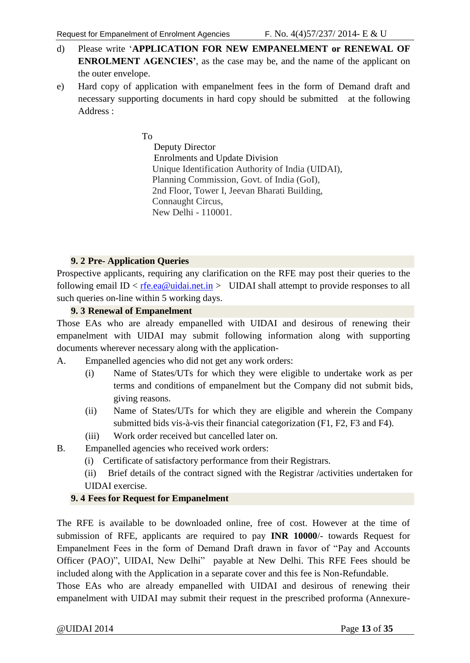- d) Please write '**APPLICATION FOR NEW EMPANELMENT or RENEWAL OF ENROLMENT AGENCIES'**, as the case may be, and the name of the applicant on the outer envelope.
- e) Hard copy of application with empanelment fees in the form of Demand draft and necessary supporting documents in hard copy should be submitted at the following Address :

To

 Deputy Director Enrolments and Update Division Unique Identification Authority of India (UIDAI), Planning Commission, Govt. of India (GoI), 2nd Floor, Tower I, Jeevan Bharati Building, Connaught Circus, New Delhi - 110001.

#### **9. 2 Pre- Application Queries**

<span id="page-12-0"></span>Prospective applicants, requiring any clarification on the RFE may post their queries to the following email ID  $\langle$  [rfe.ea@uidai.net.in](mailto:rfe.ea@uidai.net.in)  $\rangle$  UIDAI shall attempt to provide responses to all such queries on-line within 5 working days.

#### **9. 3 Renewal of Empanelment**

<span id="page-12-1"></span>Those EAs who are already empanelled with UIDAI and desirous of renewing their empanelment with UIDAI may submit following information along with supporting documents wherever necessary along with the application-

- A. Empanelled agencies who did not get any work orders:
	- (i) Name of States/UTs for which they were eligible to undertake work as per terms and conditions of empanelment but the Company did not submit bids, giving reasons.
	- (ii) Name of States/UTs for which they are eligible and wherein the Company submitted bids vis-à-vis their financial categorization (F1, F2, F3 and F4).
	- (iii) Work order received but cancelled later on.
- B. Empanelled agencies who received work orders:
	- (i) Certificate of satisfactory performance from their Registrars.
	- (ii) Brief details of the contract signed with the Registrar /activities undertaken for UIDAI exercise.

#### <span id="page-12-2"></span>**9. 4 Fees for Request for Empanelment**

The RFE is available to be downloaded online, free of cost. However at the time of submission of RFE, applicants are required to pay **INR 10000**/- towards Request for Empanelment Fees in the form of Demand Draft drawn in favor of "Pay and Accounts Officer (PAO)", UIDAI, New Delhi" payable at New Delhi. This RFE Fees should be included along with the Application in a separate cover and this fee is Non-Refundable.

Those EAs who are already empanelled with UIDAI and desirous of renewing their empanelment with UIDAI may submit their request in the prescribed proforma (Annexure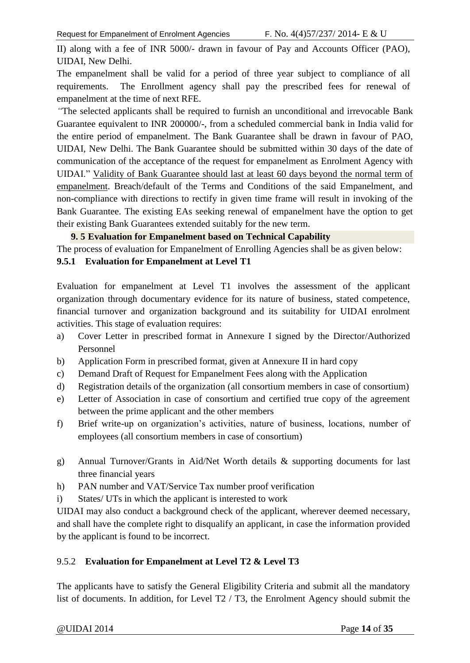II) along with a fee of INR 5000/- drawn in favour of Pay and Accounts Officer (PAO), UIDAI, New Delhi.

The empanelment shall be valid for a period of three year subject to compliance of all requirements. The Enrollment agency shall pay the prescribed fees for renewal of empanelment at the time of next RFE.

*"*The selected applicants shall be required to furnish an unconditional and irrevocable Bank Guarantee equivalent to INR 200000/-, from a scheduled commercial bank in India valid for the entire period of empanelment. The Bank Guarantee shall be drawn in favour of PAO, UIDAI, New Delhi. The Bank Guarantee should be submitted within 30 days of the date of communication of the acceptance of the request for empanelment as Enrolment Agency with UIDAI." Validity of Bank Guarantee should last at least 60 days beyond the normal term of empanelment. Breach/default of the Terms and Conditions of the said Empanelment, and non-compliance with directions to rectify in given time frame will result in invoking of the Bank Guarantee. The existing EAs seeking renewal of empanelment have the option to get their existing Bank Guarantees extended suitably for the new term.

#### **9. 5 Evaluation for Empanelment based on Technical Capability**

<span id="page-13-0"></span>The process of evaluation for Empanelment of Enrolling Agencies shall be as given below:

#### <span id="page-13-1"></span>**9.5.1 Evaluation for Empanelment at Level T1**

Evaluation for empanelment at Level T1 involves the assessment of the applicant organization through documentary evidence for its nature of business, stated competence, financial turnover and organization background and its suitability for UIDAI enrolment activities. This stage of evaluation requires:

- a) Cover Letter in prescribed format in Annexure I signed by the Director/Authorized Personnel
- b) Application Form in prescribed format, given at Annexure II in hard copy
- c) Demand Draft of Request for Empanelment Fees along with the Application
- d) Registration details of the organization (all consortium members in case of consortium)
- e) Letter of Association in case of consortium and certified true copy of the agreement between the prime applicant and the other members
- f) Brief write-up on organization's activities, nature of business, locations, number of employees (all consortium members in case of consortium)
- g) Annual Turnover/Grants in Aid/Net Worth details & supporting documents for last three financial years
- h) PAN number and VAT/Service Tax number proof verification
- i) States/ UTs in which the applicant is interested to work

UIDAI may also conduct a background check of the applicant, wherever deemed necessary, and shall have the complete right to disqualify an applicant, in case the information provided by the applicant is found to be incorrect.

#### <span id="page-13-2"></span>9.5.2 **Evaluation for Empanelment at Level T2 & Level T3**

The applicants have to satisfy the General Eligibility Criteria and submit all the mandatory list of documents. In addition, for Level T2 / T3, the Enrolment Agency should submit the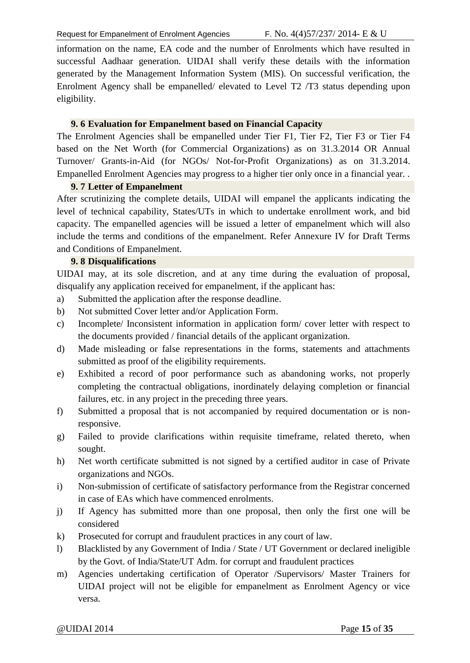information on the name, EA code and the number of Enrolments which have resulted in successful Aadhaar generation. UIDAI shall verify these details with the information generated by the Management Information System (MIS). On successful verification, the Enrolment Agency shall be empanelled/ elevated to Level T2 /T3 status depending upon eligibility.

#### **9. 6 Evaluation for Empanelment based on Financial Capacity**

<span id="page-14-0"></span>The Enrolment Agencies shall be empanelled under Tier F1, Tier F2, Tier F3 or Tier F4 based on the Net Worth (for Commercial Organizations) as on 31.3.2014 OR Annual Turnover/ Grants-in-Aid (for NGOs/ Not-for-Profit Organizations) as on 31.3.2014. Empanelled Enrolment Agencies may progress to a higher tier only once in a financial year. .

#### **9. 7 Letter of Empanelment**

<span id="page-14-1"></span>After scrutinizing the complete details, UIDAI will empanel the applicants indicating the level of technical capability, States/UTs in which to undertake enrollment work, and bid capacity. The empanelled agencies will be issued a letter of empanelment which will also include the terms and conditions of the empanelment. Refer Annexure IV for Draft Terms and Conditions of Empanelment.

#### **9. 8 Disqualifications**

<span id="page-14-2"></span>UIDAI may, at its sole discretion, and at any time during the evaluation of proposal, disqualify any application received for empanelment, if the applicant has:

- a) Submitted the application after the response deadline.
- b) Not submitted Cover letter and/or Application Form.
- c) Incomplete/ Inconsistent information in application form/ cover letter with respect to the documents provided / financial details of the applicant organization.
- d) Made misleading or false representations in the forms, statements and attachments submitted as proof of the eligibility requirements.
- e) Exhibited a record of poor performance such as abandoning works, not properly completing the contractual obligations, inordinately delaying completion or financial failures, etc. in any project in the preceding three years.
- f) Submitted a proposal that is not accompanied by required documentation or is nonresponsive.
- g) Failed to provide clarifications within requisite timeframe, related thereto, when sought.
- h) Net worth certificate submitted is not signed by a certified auditor in case of Private organizations and NGOs.
- i) Non-submission of certificate of satisfactory performance from the Registrar concerned in case of EAs which have commenced enrolments.
- j) If Agency has submitted more than one proposal, then only the first one will be considered
- k) Prosecuted for corrupt and fraudulent practices in any court of law.
- l) Blacklisted by any Government of India / State / UT Government or declared ineligible by the Govt. of India/State/UT Adm. for corrupt and fraudulent practices
- m) Agencies undertaking certification of Operator /Supervisors/ Master Trainers for UIDAI project will not be eligible for empanelment as Enrolment Agency or vice versa.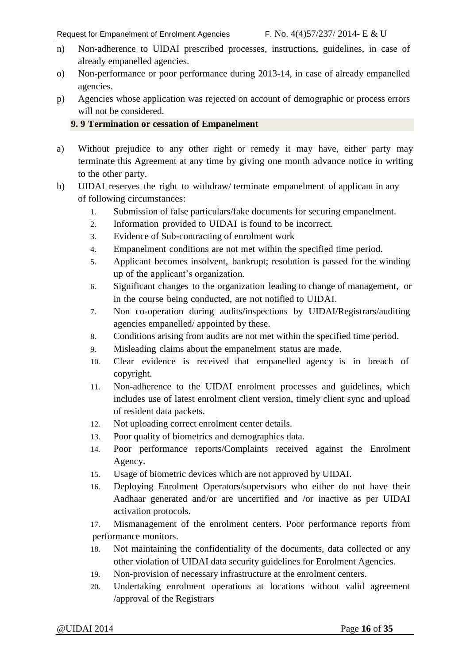- n) Non-adherence to UIDAI prescribed processes, instructions, guidelines, in case of already empanelled agencies.
- o) Non-performance or poor performance during 2013-14, in case of already empanelled agencies.
- p) Agencies whose application was rejected on account of demographic or process errors will not be considered.

#### <span id="page-15-0"></span>**9. 9 Termination or cessation of Empanelment**

- a) Without prejudice to any other right or remedy it may have, either party may terminate this Agreement at any time by giving one month advance notice in writing to the other party.
- b) UIDAI reserves the right to withdraw/ terminate empanelment of applicant in any of following circumstances:
	- 1. Submission of false particulars/fake documents for securing empanelment.
	- 2. Information provided to UIDAI is found to be incorrect.
	- 3. Evidence of Sub-contracting of enrolment work
	- 4. Empanelment conditions are not met within the specified time period.
	- 5. Applicant becomes insolvent, bankrupt; resolution is passed for the winding up of the applicant's organization.
	- 6. Significant changes to the organization leading to change of management, or in the course being conducted, are not notified to UIDAI.
	- 7. Non co-operation during audits/inspections by UIDAI/Registrars/auditing agencies empanelled/ appointed by these.
	- 8. Conditions arising from audits are not met within the specified time period.
	- 9. Misleading claims about the empanelment status are made.
	- 10. Clear evidence is received that empanelled agency is in breach of copyright.
	- 11. Non-adherence to the UIDAI enrolment processes and guidelines, which includes use of latest enrolment client version, timely client sync and upload of resident data packets.
	- 12. Not uploading correct enrolment center details.
	- 13. Poor quality of biometrics and demographics data.
	- 14. Poor performance reports/Complaints received against the Enrolment Agency.
	- 15. Usage of biometric devices which are not approved by UIDAI.
	- 16. Deploying Enrolment Operators/supervisors who either do not have their Aadhaar generated and/or are uncertified and /or inactive as per UIDAI activation protocols.
	- 17. Mismanagement of the enrolment centers. Poor performance reports from performance monitors.
	- 18. Not maintaining the confidentiality of the documents, data collected or any other violation of UIDAI data security guidelines for Enrolment Agencies.
	- 19. Non-provision of necessary infrastructure at the enrolment centers.
	- 20. Undertaking enrolment operations at locations without valid agreement /approval of the Registrars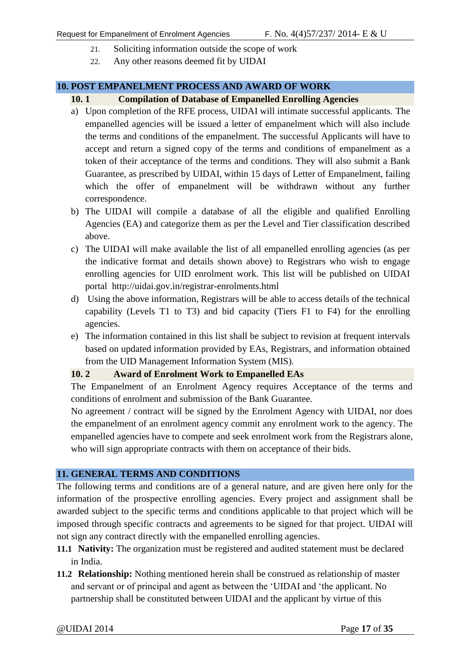- 21. Soliciting information outside the scope of work
- <span id="page-16-1"></span>22. Any other reasons deemed fit by UIDAI

#### <span id="page-16-0"></span>**10. POST EMPANELMENT PROCESS AND AWARD OF WORK**

#### **10. 1 Compilation of Database of Empanelled Enrolling Agencies**

- a) Upon completion of the RFE process, UIDAI will intimate successful applicants. The empanelled agencies will be issued a letter of empanelment which will also include the terms and conditions of the empanelment. The successful Applicants will have to accept and return a signed copy of the terms and conditions of empanelment as a token of their acceptance of the terms and conditions. They will also submit a Bank Guarantee, as prescribed by UIDAI, within 15 days of Letter of Empanelment, failing which the offer of empanelment will be withdrawn without any further correspondence.
- b) The UIDAI will compile a database of all the eligible and qualified Enrolling Agencies (EA) and categorize them as per the Level and Tier classification described above.
- c) The UIDAI will make available the list of all empanelled enrolling agencies (as per the indicative format and details shown above) to Registrars who wish to engage enrolling agencies for UID enrolment work. This list will be published on UIDAI portal http://uidai.gov.in/registrar-enrolments.html
- d) Using the above information, Registrars will be able to access details of the technical capability (Levels T1 to T3) and bid capacity (Tiers F1 to F4) for the enrolling agencies.
- e) The information contained in this list shall be subject to revision at frequent intervals based on updated information provided by EAs, Registrars, and information obtained from the UID Management Information System (MIS).

#### <span id="page-16-2"></span>**10. 2 Award of Enrolment Work to Empanelled EAs**

The Empanelment of an Enrolment Agency requires Acceptance of the terms and conditions of enrolment and submission of the Bank Guarantee.

No agreement / contract will be signed by the Enrolment Agency with UIDAI, nor does the empanelment of an enrolment agency commit any enrolment work to the agency. The empanelled agencies have to compete and seek enrolment work from the Registrars alone, who will sign appropriate contracts with them on acceptance of their bids.

#### <span id="page-16-3"></span>**11. GENERAL TERMS AND CONDITIONS**

The following terms and conditions are of a general nature, and are given here only for the information of the prospective enrolling agencies. Every project and assignment shall be awarded subject to the specific terms and conditions applicable to that project which will be imposed through specific contracts and agreements to be signed for that project. UIDAI will not sign any contract directly with the empanelled enrolling agencies.

- **11.1 Nativity:** The organization must be registered and audited statement must be declared in India.
- **11.2 Relationship:** Nothing mentioned herein shall be construed as relationship of master and servant or of principal and agent as between the 'UIDAI and 'the applicant. No partnership shall be constituted between UIDAI and the applicant by virtue of this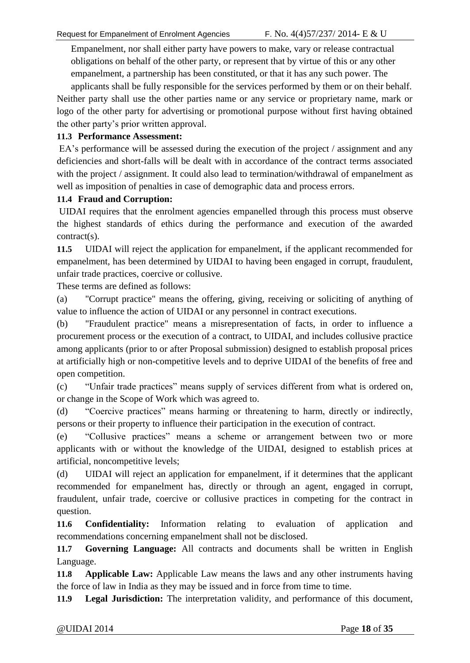Empanelment, nor shall either party have powers to make, vary or release contractual obligations on behalf of the other party, or represent that by virtue of this or any other empanelment, a partnership has been constituted, or that it has any such power. The

applicants shall be fully responsible for the services performed by them or on their behalf. Neither party shall use the other parties name or any service or proprietary name, mark or logo of the other party for advertising or promotional purpose without first having obtained the other party's prior written approval.

#### **11.3 Performance Assessment:**

EA's performance will be assessed during the execution of the project / assignment and any deficiencies and short-falls will be dealt with in accordance of the contract terms associated with the project / assignment. It could also lead to termination/withdrawal of empanelment as well as imposition of penalties in case of demographic data and process errors.

#### **11.4 Fraud and Corruption:**

UIDAI requires that the enrolment agencies empanelled through this process must observe the highest standards of ethics during the performance and execution of the awarded contract(s).

**11.5** UIDAI will reject the application for empanelment, if the applicant recommended for empanelment, has been determined by UIDAI to having been engaged in corrupt, fraudulent, unfair trade practices, coercive or collusive.

These terms are defined as follows:

(a) "Corrupt practice" means the offering, giving, receiving or soliciting of anything of value to influence the action of UIDAI or any personnel in contract executions.

(b) "Fraudulent practice" means a misrepresentation of facts, in order to influence a procurement process or the execution of a contract, to UIDAI, and includes collusive practice among applicants (prior to or after Proposal submission) designed to establish proposal prices at artificially high or non-competitive levels and to deprive UIDAI of the benefits of free and open competition.

(c) "Unfair trade practices" means supply of services different from what is ordered on, or change in the Scope of Work which was agreed to.

(d) "Coercive practices" means harming or threatening to harm, directly or indirectly, persons or their property to influence their participation in the execution of contract.

(e) "Collusive practices" means a scheme or arrangement between two or more applicants with or without the knowledge of the UIDAI, designed to establish prices at artificial, noncompetitive levels;

(d) UIDAI will reject an application for empanelment, if it determines that the applicant recommended for empanelment has, directly or through an agent, engaged in corrupt, fraudulent, unfair trade, coercive or collusive practices in competing for the contract in question.

**11.6 Confidentiality:** Information relating to evaluation of application and recommendations concerning empanelment shall not be disclosed.

**11.7 Governing Language:** All contracts and documents shall be written in English Language.

**11.8 Applicable Law:** Applicable Law means the laws and any other instruments having the force of law in India as they may be issued and in force from time to time.

**11.9 Legal Jurisdiction:** The interpretation validity, and performance of this document,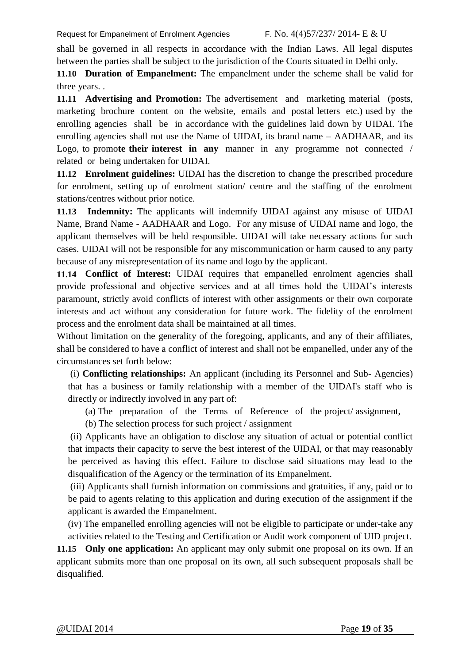shall be governed in all respects in accordance with the Indian Laws. All legal disputes between the parties shall be subject to the jurisdiction of the Courts situated in Delhi only.

**11.10 Duration of Empanelment:** The empanelment under the scheme shall be valid for three years. .

**11.11 Advertising and Promotion:** The advertisement and marketing material (posts, marketing brochure content on the website, emails and postal letters etc.) used by the enrolling agencies shall be in accordance with the guidelines laid down by UIDAI. The enrolling agencies shall not use the Name of UIDAI, its brand name – AADHAAR, and its Logo, to promo**te their interest in any** manner in any programme not connected / related or being undertaken for UIDAI.

**11.12 Enrolment guidelines:** UIDAI has the discretion to change the prescribed procedure for enrolment, setting up of enrolment station/ centre and the staffing of the enrolment stations/centres without prior notice.

**11.13 Indemnity:** The applicants will indemnify UIDAI against any misuse of UIDAI Name, Brand Name - AADHAAR and Logo. For any misuse of UIDAI name and logo, the applicant themselves will be held responsible. UIDAI will take necessary actions for such cases. UIDAI will not be responsible for any miscommunication or harm caused to any party because of any misrepresentation of its name and logo by the applicant.

**11.14 Conflict of Interest:** UIDAI requires that empanelled enrolment agencies shall provide professional and objective services and at all times hold the UIDAI's interests paramount, strictly avoid conflicts of interest with other assignments or their own corporate interests and act without any consideration for future work. The fidelity of the enrolment process and the enrolment data shall be maintained at all times.

Without limitation on the generality of the foregoing, applicants, and any of their affiliates, shall be considered to have a conflict of interest and shall not be empanelled, under any of the circumstances set forth below:

(i) **Conflicting relationships:** An applicant (including its Personnel and Sub- Agencies) that has a business or family relationship with a member of the UIDAI's staff who is directly or indirectly involved in any part of:

(a) The preparation of the Terms of Reference of the project/ assignment,

(b) The selection process for such project / assignment

(ii) Applicants have an obligation to disclose any situation of actual or potential conflict that impacts their capacity to serve the best interest of the UIDAI, or that may reasonably be perceived as having this effect. Failure to disclose said situations may lead to the disqualification of the Agency or the termination of its Empanelment.

(iii) Applicants shall furnish information on commissions and gratuities, if any, paid or to be paid to agents relating to this application and during execution of the assignment if the applicant is awarded the Empanelment.

(iv) The empanelled enrolling agencies will not be eligible to participate or under-take any activities related to the Testing and Certification or Audit work component of UID project.

**11.15 Only one application:** An applicant may only submit one proposal on its own. If an applicant submits more than one proposal on its own, all such subsequent proposals shall be disqualified.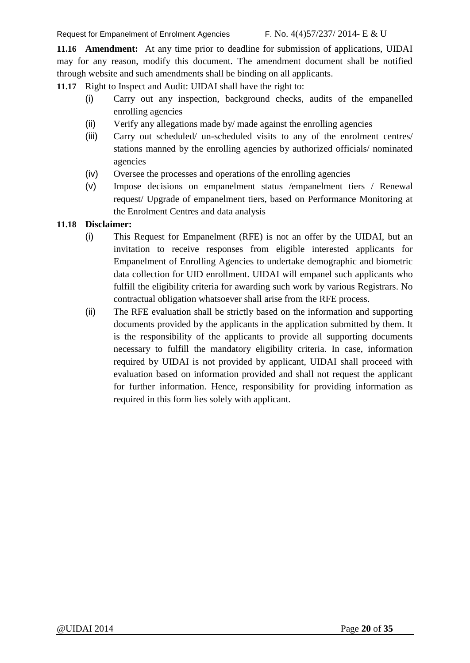**11.16 Amendment:** At any time prior to deadline for submission of applications, UIDAI may for any reason, modify this document. The amendment document shall be notified through website and such amendments shall be binding on all applicants.

**11.17** Right to Inspect and Audit: UIDAI shall have the right to:

- (i) Carry out any inspection, background checks, audits of the empanelled enrolling agencies
- (ii) Verify any allegations made by/ made against the enrolling agencies
- (iii) Carry out scheduled/ un-scheduled visits to any of the enrolment centres/ stations manned by the enrolling agencies by authorized officials/ nominated agencies
- (iv) Oversee the processes and operations of the enrolling agencies
- (v) Impose decisions on empanelment status /empanelment tiers / Renewal request/ Upgrade of empanelment tiers, based on Performance Monitoring at the Enrolment Centres and data analysis

#### **11.18 Disclaimer:**

- (i) This Request for Empanelment (RFE) is not an offer by the UIDAI, but an invitation to receive responses from eligible interested applicants for Empanelment of Enrolling Agencies to undertake demographic and biometric data collection for UID enrollment. UIDAI will empanel such applicants who fulfill the eligibility criteria for awarding such work by various Registrars. No contractual obligation whatsoever shall arise from the RFE process.
- (ii) The RFE evaluation shall be strictly based on the information and supporting documents provided by the applicants in the application submitted by them. It is the responsibility of the applicants to provide all supporting documents necessary to fulfill the mandatory eligibility criteria. In case, information required by UIDAI is not provided by applicant, UIDAI shall proceed with evaluation based on information provided and shall not request the applicant for further information. Hence, responsibility for providing information as required in this form lies solely with applicant.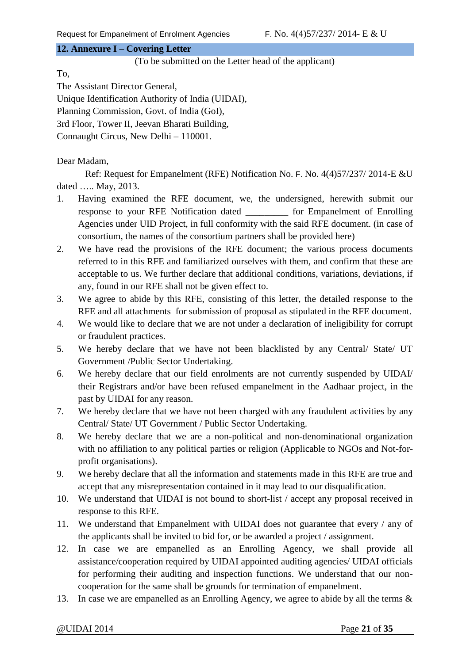#### <span id="page-20-0"></span>**12. Annexure I – Covering Letter**

(To be submitted on the Letter head of the applicant)

To,

The Assistant Director General,

Unique Identification Authority of India (UIDAI),

Planning Commission, Govt. of India (GoI),

3rd Floor, Tower II, Jeevan Bharati Building,

Connaught Circus, New Delhi – 110001.

Dear Madam,

Ref: Request for Empanelment (RFE) Notification No. F. No. 4(4)57/237/ 2014-E &U dated ….. May, 2013.

- 1. Having examined the RFE document, we, the undersigned, herewith submit our response to your RFE Notification dated for Empanelment of Enrolling Agencies under UID Project, in full conformity with the said RFE document. (in case of consortium, the names of the consortium partners shall be provided here)
- 2. We have read the provisions of the RFE document; the various process documents referred to in this RFE and familiarized ourselves with them, and confirm that these are acceptable to us. We further declare that additional conditions, variations, deviations, if any, found in our RFE shall not be given effect to.
- 3. We agree to abide by this RFE, consisting of this letter, the detailed response to the RFE and all attachments for submission of proposal as stipulated in the RFE document.
- 4. We would like to declare that we are not under a declaration of ineligibility for corrupt or fraudulent practices.
- 5. We hereby declare that we have not been blacklisted by any Central/ State/ UT Government /Public Sector Undertaking.
- 6. We hereby declare that our field enrolments are not currently suspended by UIDAI/ their Registrars and/or have been refused empanelment in the Aadhaar project, in the past by UIDAI for any reason.
- 7. We hereby declare that we have not been charged with any fraudulent activities by any Central/ State/ UT Government / Public Sector Undertaking.
- 8. We hereby declare that we are a non-political and non-denominational organization with no affiliation to any political parties or religion (Applicable to NGOs and Not-forprofit organisations).
- 9. We hereby declare that all the information and statements made in this RFE are true and accept that any misrepresentation contained in it may lead to our disqualification.
- 10. We understand that UIDAI is not bound to short-list / accept any proposal received in response to this RFE.
- 11. We understand that Empanelment with UIDAI does not guarantee that every / any of the applicants shall be invited to bid for, or be awarded a project / assignment.
- 12. In case we are empanelled as an Enrolling Agency, we shall provide all assistance/cooperation required by UIDAI appointed auditing agencies/ UIDAI officials for performing their auditing and inspection functions. We understand that our noncooperation for the same shall be grounds for termination of empanelment.
- 13. In case we are empanelled as an Enrolling Agency, we agree to abide by all the terms &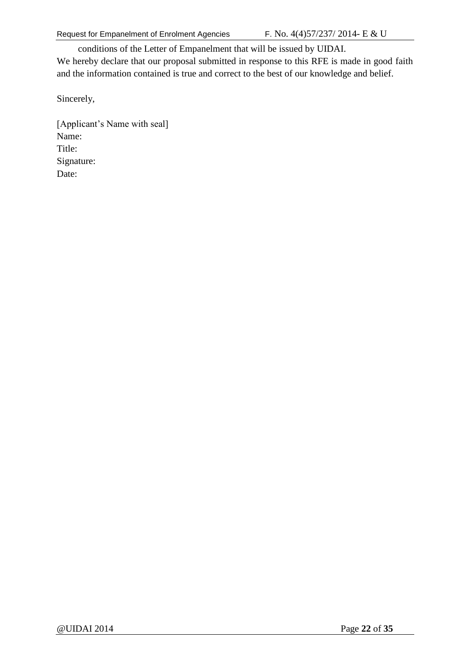conditions of the Letter of Empanelment that will be issued by UIDAI.

We hereby declare that our proposal submitted in response to this RFE is made in good faith and the information contained is true and correct to the best of our knowledge and belief.

Sincerely,

[Applicant's Name with seal] Name: Title: Signature: Date: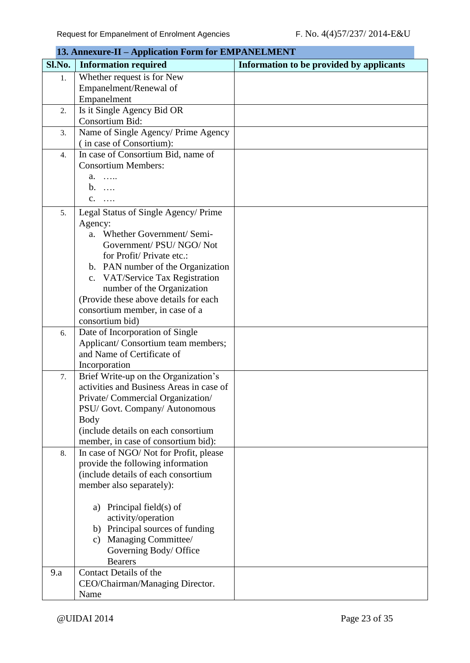<span id="page-22-0"></span>

|        | 13. Annexure-II - Application Form for EMPANELMENT                      |                                          |
|--------|-------------------------------------------------------------------------|------------------------------------------|
| Sl.No. | <b>Information required</b>                                             | Information to be provided by applicants |
| 1.     | Whether request is for New                                              |                                          |
|        | Empanelment/Renewal of                                                  |                                          |
|        | Empanelment                                                             |                                          |
| 2.     | Is it Single Agency Bid OR                                              |                                          |
|        | Consortium Bid:                                                         |                                          |
| 3.     | Name of Single Agency/ Prime Agency                                     |                                          |
|        | (in case of Consortium):                                                |                                          |
| 4.     | In case of Consortium Bid, name of                                      |                                          |
|        | <b>Consortium Members:</b>                                              |                                          |
|        | a.                                                                      |                                          |
|        | $b. \ldots$                                                             |                                          |
|        | $C. \quad \ldots$                                                       |                                          |
| 5.     | Legal Status of Single Agency/ Prime                                    |                                          |
|        | Agency:                                                                 |                                          |
|        | a. Whether Government/Semi-                                             |                                          |
|        | Government/ PSU/ NGO/ Not                                               |                                          |
|        | for Profit/Private etc.:                                                |                                          |
|        | b. PAN number of the Organization                                       |                                          |
|        | VAT/Service Tax Registration<br>c.                                      |                                          |
|        | number of the Organization                                              |                                          |
|        | (Provide these above details for each                                   |                                          |
|        | consortium member, in case of a                                         |                                          |
|        | consortium bid)                                                         |                                          |
| 6.     | Date of Incorporation of Single                                         |                                          |
|        | Applicant/Consortium team members;                                      |                                          |
|        | and Name of Certificate of                                              |                                          |
|        | Incorporation                                                           |                                          |
| 7.     | Brief Write-up on the Organization's                                    |                                          |
|        | activities and Business Areas in case of                                |                                          |
|        | Private/ Commercial Organization/                                       |                                          |
|        | PSU/ Govt. Company/ Autonomous                                          |                                          |
|        | Body                                                                    |                                          |
|        | (include details on each consortium                                     |                                          |
|        | member, in case of consortium bid):                                     |                                          |
| 8.     | In case of NGO/Not for Profit, please                                   |                                          |
|        | provide the following information                                       |                                          |
|        | (include details of each consortium                                     |                                          |
|        | member also separately):                                                |                                          |
|        |                                                                         |                                          |
|        | a) Principal field(s) of                                                |                                          |
|        | activity/operation                                                      |                                          |
|        | b) Principal sources of funding<br>Managing Committee/<br>$\mathbf{c})$ |                                          |
|        | Governing Body/ Office                                                  |                                          |
|        | <b>Bearers</b>                                                          |                                          |
| 9.a    | <b>Contact Details of the</b>                                           |                                          |
|        | CEO/Chairman/Managing Director.                                         |                                          |
|        | Name                                                                    |                                          |
|        |                                                                         |                                          |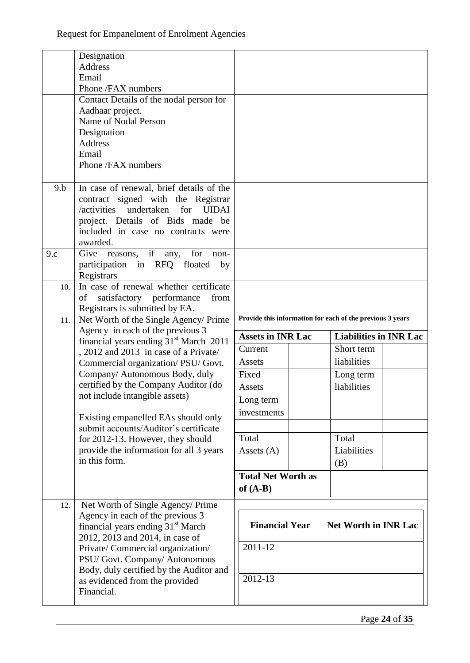|     | Designation                                                                            |                                                           |                                                           |  |
|-----|----------------------------------------------------------------------------------------|-----------------------------------------------------------|-----------------------------------------------------------|--|
|     | Address                                                                                |                                                           |                                                           |  |
|     | Email                                                                                  |                                                           |                                                           |  |
|     | Phone /FAX numbers                                                                     |                                                           |                                                           |  |
|     | Contact Details of the nodal person for                                                |                                                           |                                                           |  |
|     | Aadhaar project.                                                                       |                                                           |                                                           |  |
|     | Name of Nodal Person                                                                   |                                                           |                                                           |  |
|     | Designation                                                                            |                                                           |                                                           |  |
|     | <b>Address</b>                                                                         |                                                           |                                                           |  |
|     | Email                                                                                  |                                                           |                                                           |  |
|     | Phone /FAX numbers                                                                     |                                                           |                                                           |  |
|     |                                                                                        |                                                           |                                                           |  |
| 9.b | In case of renewal, brief details of the                                               |                                                           |                                                           |  |
|     | contract signed with the Registrar                                                     |                                                           |                                                           |  |
|     | /activities<br>undertaken<br>for<br><b>UIDAI</b>                                       |                                                           |                                                           |  |
|     | project. Details of Bids made be                                                       |                                                           |                                                           |  |
|     | included in case no contracts were                                                     |                                                           |                                                           |  |
|     | awarded.                                                                               |                                                           |                                                           |  |
| 9.c | Give reasons, if<br>any,<br>for<br>non-                                                |                                                           |                                                           |  |
|     | participation in RFQ floated<br>by                                                     |                                                           |                                                           |  |
|     | Registrars                                                                             |                                                           |                                                           |  |
| 10. | In case of renewal whether certificate                                                 |                                                           |                                                           |  |
|     | satisfactory performance<br>of<br>from                                                 |                                                           |                                                           |  |
|     | Registrars is submitted by EA.                                                         |                                                           |                                                           |  |
| 11. | Net Worth of the Single Agency/ Prime                                                  |                                                           | Provide this information for each of the previous 3 years |  |
|     | Agency in each of the previous 3<br>financial years ending 31 <sup>st</sup> March 2011 | <b>Assets in INR Lac</b><br><b>Liabilities in INR Lac</b> |                                                           |  |
|     | , 2012 and 2013 in case of a Private/                                                  | Current                                                   | Short term                                                |  |
|     | Commercial organization/PSU/Govt.                                                      | Assets                                                    | liabilities                                               |  |
|     |                                                                                        |                                                           |                                                           |  |
|     |                                                                                        |                                                           |                                                           |  |
|     | Company/ Autonomous Body, duly                                                         | Fixed                                                     | Long term                                                 |  |
|     | certified by the Company Auditor (do                                                   | Assets                                                    | liabilities                                               |  |
|     | not include intangible assets)                                                         | Long term                                                 |                                                           |  |
|     |                                                                                        | investments                                               |                                                           |  |
|     | Existing empanelled EAs should only<br>submit accounts/Auditor's certificate           |                                                           |                                                           |  |
|     |                                                                                        | Total                                                     | Total                                                     |  |
|     | for 2012-13. However, they should                                                      |                                                           |                                                           |  |
|     | provide the information for all 3 years<br>in this form.                               | Assets $(A)$                                              | Liabilities                                               |  |
|     |                                                                                        |                                                           | (B)                                                       |  |
|     |                                                                                        | <b>Total Net Worth as</b>                                 |                                                           |  |
|     |                                                                                        | of $(A-B)$                                                |                                                           |  |
| 12. | Net Worth of Single Agency/ Prime                                                      |                                                           |                                                           |  |
|     | Agency in each of the previous 3<br>financial years ending 31 <sup>st</sup> March      | <b>Financial Year</b>                                     | <b>Net Worth in INR Lac</b>                               |  |
|     | 2012, 2013 and 2014, in case of                                                        |                                                           |                                                           |  |
|     | Private/ Commercial organization/                                                      | 2011-12                                                   |                                                           |  |
|     | PSU/ Govt. Company/ Autonomous                                                         |                                                           |                                                           |  |
|     | Body, duly certified by the Auditor and                                                |                                                           |                                                           |  |
|     | as evidenced from the provided<br>Financial.                                           | 2012-13                                                   |                                                           |  |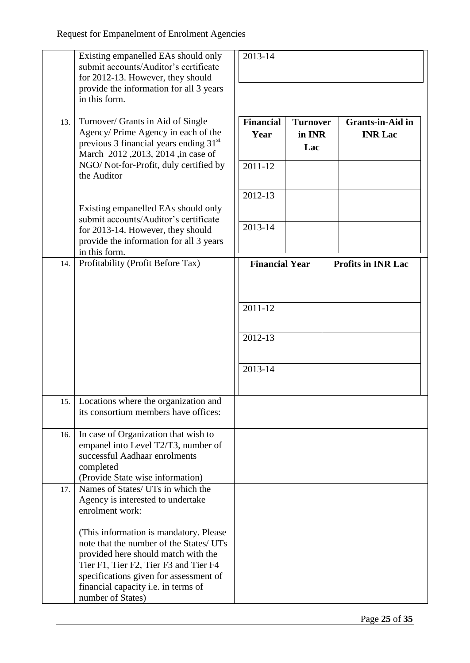|     | Existing empanelled EAs should only<br>submit accounts/Auditor's certificate<br>for 2012-13. However, they should<br>provide the information for all 3 years<br>in this form.                                                                                                                                                                                        | 2013-14                                                |                                  |                                           |
|-----|----------------------------------------------------------------------------------------------------------------------------------------------------------------------------------------------------------------------------------------------------------------------------------------------------------------------------------------------------------------------|--------------------------------------------------------|----------------------------------|-------------------------------------------|
| 13. | Turnover/ Grants in Aid of Single<br>Agency/ Prime Agency in each of the<br>previous 3 financial years ending 31 <sup>st</sup><br>March 2012, 2013, 2014, in case of<br>NGO/Not-for-Profit, duly certified by<br>the Auditor                                                                                                                                         | <b>Financial</b><br>Year<br>2011-12                    | <b>Turnover</b><br>in INR<br>Lac | <b>Grants-in-Aid in</b><br><b>INR Lac</b> |
|     | Existing empanelled EAs should only<br>submit accounts/Auditor's certificate<br>for 2013-14. However, they should<br>provide the information for all 3 years<br>in this form.                                                                                                                                                                                        | 2012-13<br>2013-14                                     |                                  |                                           |
| 14. | Profitability (Profit Before Tax)                                                                                                                                                                                                                                                                                                                                    | <b>Financial Year</b><br>2011-12<br>2012-13<br>2013-14 |                                  | <b>Profits in INR Lac</b>                 |
|     | 15.   Locations where the organization and<br>its consortium members have offices:                                                                                                                                                                                                                                                                                   |                                                        |                                  |                                           |
| 16. | In case of Organization that wish to<br>empanel into Level T2/T3, number of<br>successful Aadhaar enrolments<br>completed<br>(Provide State wise information)                                                                                                                                                                                                        |                                                        |                                  |                                           |
| 17. | Names of States/ UTs in which the<br>Agency is interested to undertake<br>enrolment work:<br>(This information is mandatory. Please<br>note that the number of the States/ UTs<br>provided here should match with the<br>Tier F1, Tier F2, Tier F3 and Tier F4<br>specifications given for assessment of<br>financial capacity i.e. in terms of<br>number of States) |                                                        |                                  |                                           |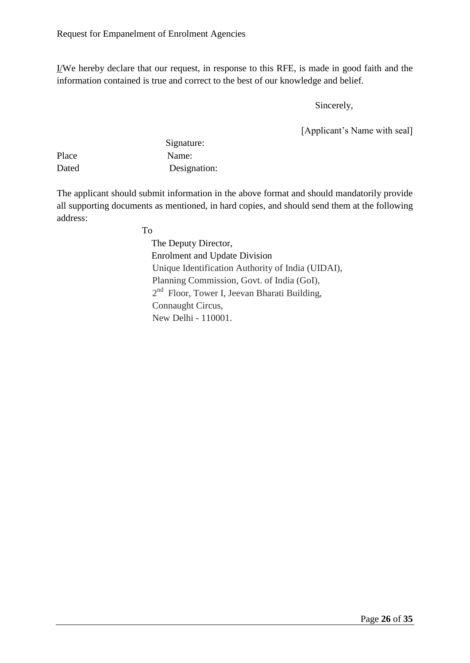I/We hereby declare that our request, in response to this RFE, is made in good faith and the information contained is true and correct to the best of our knowledge and belief.

Sincerely,

[Applicant's Name with seal]

|       | Signature:   |
|-------|--------------|
| Place | Name:        |
| Dated | Designation: |

The applicant should submit information in the above format and should mandatorily provide all supporting documents as mentioned, in hard copies, and should send them at the following address:

To

 The Deputy Director, Enrolment and Update Division Unique Identification Authority of India (UIDAI), Planning Commission, Govt. of India (GoI), 2<sup>nd</sup> Floor, Tower I, Jeevan Bharati Building, Connaught Circus, New Delhi - 110001.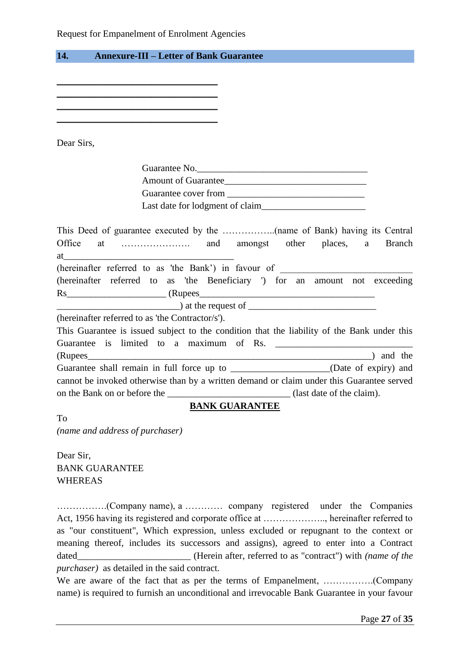Request for Empanelment of Enrolment Agencies

<span id="page-26-0"></span>

| 14.<br><b>Annexure-III – Letter of Bank Guarantee</b>                                                                                                                                                                                                                                 |               |
|---------------------------------------------------------------------------------------------------------------------------------------------------------------------------------------------------------------------------------------------------------------------------------------|---------------|
|                                                                                                                                                                                                                                                                                       |               |
|                                                                                                                                                                                                                                                                                       |               |
| and the control of the control of the control of the control of the control of the control of                                                                                                                                                                                         |               |
| <u> 1989 - Andrea Stadt Britain, amerikansk politik (* 1908)</u>                                                                                                                                                                                                                      |               |
|                                                                                                                                                                                                                                                                                       |               |
|                                                                                                                                                                                                                                                                                       |               |
| Dear Sirs,                                                                                                                                                                                                                                                                            |               |
| Guarantee No.                                                                                                                                                                                                                                                                         |               |
| Amount of Guarantee                                                                                                                                                                                                                                                                   |               |
|                                                                                                                                                                                                                                                                                       |               |
|                                                                                                                                                                                                                                                                                       |               |
|                                                                                                                                                                                                                                                                                       |               |
|                                                                                                                                                                                                                                                                                       |               |
| Office                                                                                                                                                                                                                                                                                | <b>Branch</b> |
|                                                                                                                                                                                                                                                                                       |               |
| (hereinafter referred to as 'the Bank') in favour of ____________________________                                                                                                                                                                                                     |               |
| (hereinafter referred to as 'the Beneficiary ') for an amount not exceeding                                                                                                                                                                                                           |               |
| $\frac{1}{2}$ at the request of $\frac{1}{2}$ and $\frac{1}{2}$ at the request of $\frac{1}{2}$ and $\frac{1}{2}$ and $\frac{1}{2}$ and $\frac{1}{2}$ and $\frac{1}{2}$ and $\frac{1}{2}$ and $\frac{1}{2}$ and $\frac{1}{2}$ and $\frac{1}{2}$ and $\frac{1}{2}$ and $\frac{1}{2}$ a |               |
|                                                                                                                                                                                                                                                                                       |               |
| (hereinafter referred to as 'the Contractor/s').                                                                                                                                                                                                                                      |               |
| This Guarantee is issued subject to the condition that the liability of the Bank under this                                                                                                                                                                                           |               |
|                                                                                                                                                                                                                                                                                       |               |
| Guarantee shall remain in full force up to _______________________(Date of expiry) and                                                                                                                                                                                                |               |
| cannot be invoked otherwise than by a written demand or claim under this Guarantee served                                                                                                                                                                                             |               |
| on the Bank on or before the ________________________________(last date of the claim).                                                                                                                                                                                                |               |
| <b>BANK GUARANTEE</b>                                                                                                                                                                                                                                                                 |               |
| To                                                                                                                                                                                                                                                                                    |               |
| (name and address of purchaser)                                                                                                                                                                                                                                                       |               |

Dear Sir, BANK GUARANTEE WHEREAS

…………….(Company name), a ………… company registered under the Companies Act, 1956 having its registered and corporate office at ……………….., hereinafter referred to as "our constituent", Which expression, unless excluded or repugnant to the context or meaning thereof, includes its successors and assigns), agreed to enter into a Contract dated\_\_\_\_\_\_\_\_\_\_\_\_\_\_\_\_\_\_\_\_\_\_\_\_ (Herein after, referred to as "contract") with *(name of the purchaser)* as detailed in the said contract.

We are aware of the fact that as per the terms of Empanelment, …………….(Company name) is required to furnish an unconditional and irrevocable Bank Guarantee in your favour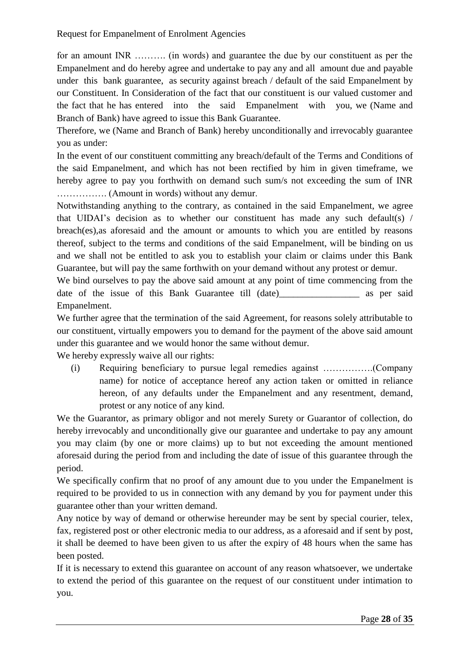for an amount INR ………. (in words) and guarantee the due by our constituent as per the Empanelment and do hereby agree and undertake to pay any and all amount due and payable under this bank guarantee, as security against breach / default of the said Empanelment by our Constituent. In Consideration of the fact that our constituent is our valued customer and the fact that he has entered into the said Empanelment with you, we (Name and Branch of Bank) have agreed to issue this Bank Guarantee.

Therefore, we (Name and Branch of Bank) hereby unconditionally and irrevocably guarantee you as under:

In the event of our constituent committing any breach/default of the Terms and Conditions of the said Empanelment, and which has not been rectified by him in given timeframe, we hereby agree to pay you forthwith on demand such sum/s not exceeding the sum of INR ……………. (Amount in words) without any demur.

Notwithstanding anything to the contrary, as contained in the said Empanelment, we agree that UIDAI's decision as to whether our constituent has made any such default(s) / breach(es),as aforesaid and the amount or amounts to which you are entitled by reasons thereof, subject to the terms and conditions of the said Empanelment, will be binding on us and we shall not be entitled to ask you to establish your claim or claims under this Bank Guarantee, but will pay the same forthwith on your demand without any protest or demur.

We bind ourselves to pay the above said amount at any point of time commencing from the date of the issue of this Bank Guarantee till (date) as per said Empanelment.

We further agree that the termination of the said Agreement, for reasons solely attributable to our constituent, virtually empowers you to demand for the payment of the above said amount under this guarantee and we would honor the same without demur.

We hereby expressly waive all our rights:

(i) Requiring beneficiary to pursue legal remedies against …………….(Company name) for notice of acceptance hereof any action taken or omitted in reliance hereon, of any defaults under the Empanelment and any resentment, demand, protest or any notice of any kind.

We the Guarantor, as primary obligor and not merely Surety or Guarantor of collection, do hereby irrevocably and unconditionally give our guarantee and undertake to pay any amount you may claim (by one or more claims) up to but not exceeding the amount mentioned aforesaid during the period from and including the date of issue of this guarantee through the period.

We specifically confirm that no proof of any amount due to you under the Empanelment is required to be provided to us in connection with any demand by you for payment under this guarantee other than your written demand.

Any notice by way of demand or otherwise hereunder may be sent by special courier, telex, fax, registered post or other electronic media to our address, as a aforesaid and if sent by post, it shall be deemed to have been given to us after the expiry of 48 hours when the same has been posted.

If it is necessary to extend this guarantee on account of any reason whatsoever, we undertake to extend the period of this guarantee on the request of our constituent under intimation to you.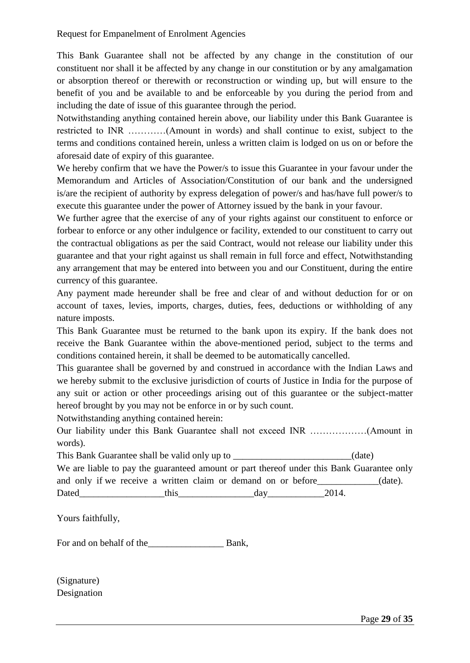This Bank Guarantee shall not be affected by any change in the constitution of our constituent nor shall it be affected by any change in our constitution or by any amalgamation or absorption thereof or therewith or reconstruction or winding up, but will ensure to the benefit of you and be available to and be enforceable by you during the period from and including the date of issue of this guarantee through the period.

Notwithstanding anything contained herein above, our liability under this Bank Guarantee is restricted to INR …………(Amount in words) and shall continue to exist, subject to the terms and conditions contained herein, unless a written claim is lodged on us on or before the aforesaid date of expiry of this guarantee.

We hereby confirm that we have the Power/s to issue this Guarantee in your favour under the Memorandum and Articles of Association/Constitution of our bank and the undersigned is/are the recipient of authority by express delegation of power/s and has/have full power/s to execute this guarantee under the power of Attorney issued by the bank in your favour.

We further agree that the exercise of any of your rights against our constituent to enforce or forbear to enforce or any other indulgence or facility, extended to our constituent to carry out the contractual obligations as per the said Contract, would not release our liability under this guarantee and that your right against us shall remain in full force and effect, Notwithstanding any arrangement that may be entered into between you and our Constituent, during the entire currency of this guarantee.

Any payment made hereunder shall be free and clear of and without deduction for or on account of taxes, levies, imports, charges, duties, fees, deductions or withholding of any nature imposts.

This Bank Guarantee must be returned to the bank upon its expiry. If the bank does not receive the Bank Guarantee within the above-mentioned period, subject to the terms and conditions contained herein, it shall be deemed to be automatically cancelled.

This guarantee shall be governed by and construed in accordance with the Indian Laws and we hereby submit to the exclusive jurisdiction of courts of Justice in India for the purpose of any suit or action or other proceedings arising out of this guarantee or the subject-matter hereof brought by you may not be enforce in or by such count.

Notwithstanding anything contained herein:

Our liability under this Bank Guarantee shall not exceed INR ………………(Amount in words).

|       | This Bank Guarantee shall be valid only up to                                             |     |       | (date)     |
|-------|-------------------------------------------------------------------------------------------|-----|-------|------------|
|       | We are liable to pay the guaranteed amount or part thereof under this Bank Guarantee only |     |       |            |
|       | and only if we receive a written claim or demand on or before                             |     |       | $(data)$ . |
| Dated | this                                                                                      | day | 2014. |            |

Yours faithfully,

For and on behalf of the\_\_\_\_\_\_\_\_\_\_\_\_\_\_\_\_ Bank,

(Signature) Designation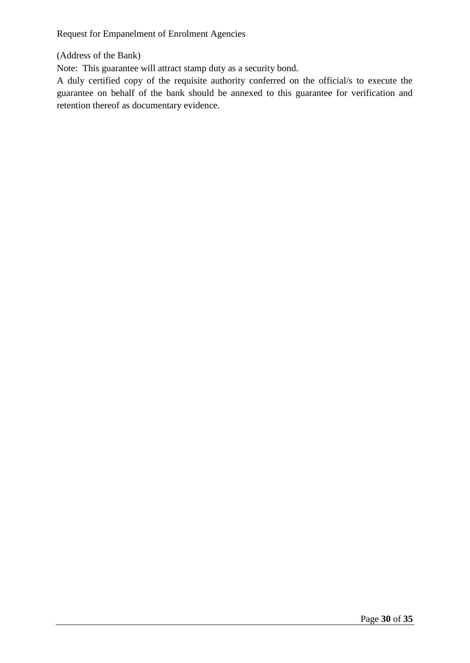(Address of the Bank)

Note: This guarantee will attract stamp duty as a security bond.

A duly certified copy of the requisite authority conferred on the official/s to execute the guarantee on behalf of the bank should be annexed to this guarantee for verification and retention thereof as documentary evidence.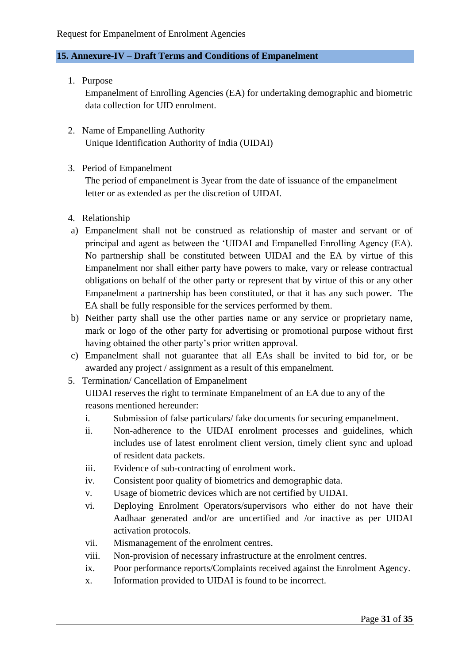#### <span id="page-30-0"></span>**15. Annexure-IV – Draft Terms and Conditions of Empanelment**

1. Purpose

Empanelment of Enrolling Agencies (EA) for undertaking demographic and biometric data collection for UID enrolment.

- 2. Name of Empanelling Authority Unique Identification Authority of India (UIDAI)
- 3. Period of Empanelment

The period of empanelment is 3year from the date of issuance of the empanelment letter or as extended as per the discretion of UIDAI.

- 4. Relationship
- a) Empanelment shall not be construed as relationship of master and servant or of principal and agent as between the 'UIDAI and Empanelled Enrolling Agency (EA). No partnership shall be constituted between UIDAI and the EA by virtue of this Empanelment nor shall either party have powers to make, vary or release contractual obligations on behalf of the other party or represent that by virtue of this or any other Empanelment a partnership has been constituted, or that it has any such power. The EA shall be fully responsible for the services performed by them.
- b) Neither party shall use the other parties name or any service or proprietary name, mark or logo of the other party for advertising or promotional purpose without first having obtained the other party's prior written approval.
- c) Empanelment shall not guarantee that all EAs shall be invited to bid for, or be awarded any project / assignment as a result of this empanelment.
- 5. Termination/ Cancellation of Empanelment

UIDAI reserves the right to terminate Empanelment of an EA due to any of the reasons mentioned hereunder:

- i. Submission of false particulars/ fake documents for securing empanelment.
- ii. Non-adherence to the UIDAI enrolment processes and guidelines, which includes use of latest enrolment client version, timely client sync and upload of resident data packets.
- iii. Evidence of sub-contracting of enrolment work.
- iv. Consistent poor quality of biometrics and demographic data.
- v. Usage of biometric devices which are not certified by UIDAI.
- vi. Deploying Enrolment Operators/supervisors who either do not have their Aadhaar generated and/or are uncertified and /or inactive as per UIDAI activation protocols.
- vii. Mismanagement of the enrolment centres.
- viii. Non-provision of necessary infrastructure at the enrolment centres.
- ix. Poor performance reports/Complaints received against the Enrolment Agency.
- x. Information provided to UIDAI is found to be incorrect.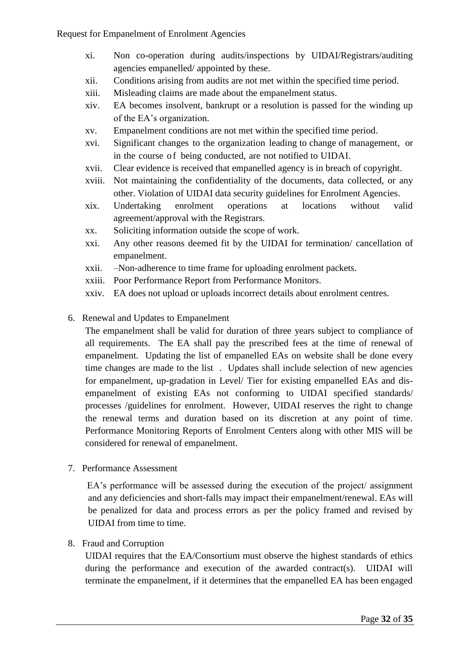- xi. Non co-operation during audits/inspections by UIDAI/Registrars/auditing agencies empanelled/ appointed by these.
- xii. Conditions arising from audits are not met within the specified time period.
- xiii. Misleading claims are made about the empanelment status.
- xiv. EA becomes insolvent, bankrupt or a resolution is passed for the winding up of the EA's organization.
- xv. Empanelment conditions are not met within the specified time period.
- xvi. Significant changes to the organization leading to change of management, or in the course of being conducted, are not notified to UIDAI.
- xvii. Clear evidence is received that empanelled agency is in breach of copyright.
- xviii. Not maintaining the confidentiality of the documents, data collected, or any other. Violation of UIDAI data security guidelines for Enrolment Agencies.
- xix. Undertaking enrolment operations at locations without valid agreement/approval with the Registrars.
- xx. Soliciting information outside the scope of work.
- xxi. Any other reasons deemed fit by the UIDAI for termination/ cancellation of empanelment.
- xxii. –Non-adherence to time frame for uploading enrolment packets.
- xxiii. Poor Performance Report from Performance Monitors.
- xxiv. EA does not upload or uploads incorrect details about enrolment centres.
- 6. Renewal and Updates to Empanelment

The empanelment shall be valid for duration of three years subject to compliance of all requirements. The EA shall pay the prescribed fees at the time of renewal of empanelment. Updating the list of empanelled EAs on website shall be done every time changes are made to the list . Updates shall include selection of new agencies for empanelment, up-gradation in Level/ Tier for existing empanelled EAs and disempanelment of existing EAs not conforming to UIDAI specified standards/ processes /guidelines for enrolment. However, UIDAI reserves the right to change the renewal terms and duration based on its discretion at any point of time. Performance Monitoring Reports of Enrolment Centers along with other MIS will be considered for renewal of empanelment.

7. Performance Assessment

 EA's performance will be assessed during the execution of the project/ assignment and any deficiencies and short-falls may impact their empanelment/renewal. EAs will be penalized for data and process errors as per the policy framed and revised by UIDAI from time to time.

#### 8. Fraud and Corruption

UIDAI requires that the EA/Consortium must observe the highest standards of ethics during the performance and execution of the awarded contract(s). UIDAI will terminate the empanelment, if it determines that the empanelled EA has been engaged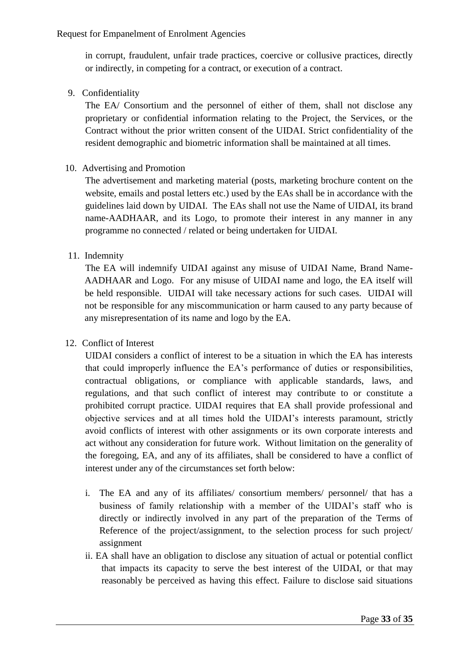in corrupt, fraudulent, unfair trade practices, coercive or collusive practices, directly or indirectly, in competing for a contract, or execution of a contract.

9. Confidentiality

The EA/ Consortium and the personnel of either of them, shall not disclose any proprietary or confidential information relating to the Project, the Services, or the Contract without the prior written consent of the UIDAI. Strict confidentiality of the resident demographic and biometric information shall be maintained at all times.

#### 10. Advertising and Promotion

The advertisement and marketing material (posts, marketing brochure content on the website, emails and postal letters etc.) used by the EAs shall be in accordance with the guidelines laid down by UIDAI. The EAs shall not use the Name of UIDAI, its brand name-AADHAAR, and its Logo, to promote their interest in any manner in any programme no connected / related or being undertaken for UIDAI.

#### 11. Indemnity

The EA will indemnify UIDAI against any misuse of UIDAI Name, Brand Name-AADHAAR and Logo. For any misuse of UIDAI name and logo, the EA itself will be held responsible. UIDAI will take necessary actions for such cases. UIDAI will not be responsible for any miscommunication or harm caused to any party because of any misrepresentation of its name and logo by the EA.

#### 12. Conflict of Interest

UIDAI considers a conflict of interest to be a situation in which the EA has interests that could improperly influence the EA's performance of duties or responsibilities, contractual obligations, or compliance with applicable standards, laws, and regulations, and that such conflict of interest may contribute to or constitute a prohibited corrupt practice. UIDAI requires that EA shall provide professional and objective services and at all times hold the UIDAI's interests paramount, strictly avoid conflicts of interest with other assignments or its own corporate interests and act without any consideration for future work. Without limitation on the generality of the foregoing, EA, and any of its affiliates, shall be considered to have a conflict of interest under any of the circumstances set forth below:

- i. The EA and any of its affiliates/ consortium members/ personnel/ that has a business of family relationship with a member of the UIDAI's staff who is directly or indirectly involved in any part of the preparation of the Terms of Reference of the project/assignment, to the selection process for such project/ assignment
- ii. EA shall have an obligation to disclose any situation of actual or potential conflict that impacts its capacity to serve the best interest of the UIDAI, or that may reasonably be perceived as having this effect. Failure to disclose said situations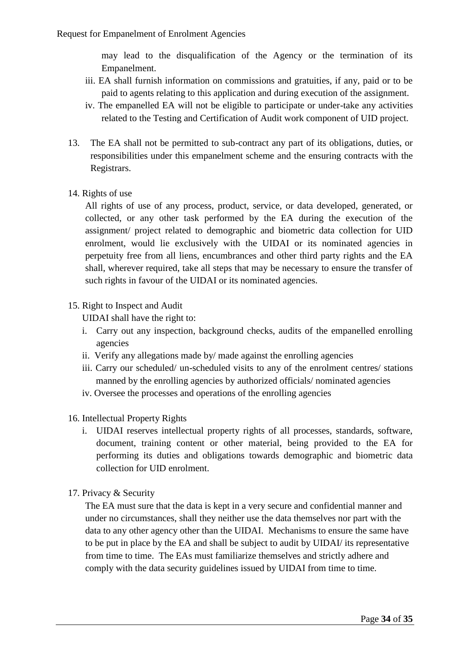may lead to the disqualification of the Agency or the termination of its Empanelment.

- iii. EA shall furnish information on commissions and gratuities, if any, paid or to be paid to agents relating to this application and during execution of the assignment.
- iv. The empanelled EA will not be eligible to participate or under-take any activities related to the Testing and Certification of Audit work component of UID project.
- 13. The EA shall not be permitted to sub-contract any part of its obligations, duties, or responsibilities under this empanelment scheme and the ensuring contracts with the Registrars.

#### 14. Rights of use

All rights of use of any process, product, service, or data developed, generated, or collected, or any other task performed by the EA during the execution of the assignment/ project related to demographic and biometric data collection for UID enrolment, would lie exclusively with the UIDAI or its nominated agencies in perpetuity free from all liens, encumbrances and other third party rights and the EA shall, wherever required, take all steps that may be necessary to ensure the transfer of such rights in favour of the UIDAI or its nominated agencies.

#### 15. Right to Inspect and Audit

UIDAI shall have the right to:

- i. Carry out any inspection, background checks, audits of the empanelled enrolling agencies
- ii. Verify any allegations made by/ made against the enrolling agencies
- iii. Carry our scheduled/ un-scheduled visits to any of the enrolment centres/ stations manned by the enrolling agencies by authorized officials/ nominated agencies
- iv. Oversee the processes and operations of the enrolling agencies

#### 16. Intellectual Property Rights

i. UIDAI reserves intellectual property rights of all processes, standards, software, document, training content or other material, being provided to the EA for performing its duties and obligations towards demographic and biometric data collection for UID enrolment.

#### 17. Privacy & Security

The EA must sure that the data is kept in a very secure and confidential manner and under no circumstances, shall they neither use the data themselves nor part with the data to any other agency other than the UIDAI. Mechanisms to ensure the same have to be put in place by the EA and shall be subject to audit by UIDAI/ its representative from time to time. The EAs must familiarize themselves and strictly adhere and comply with the data security guidelines issued by UIDAI from time to time.